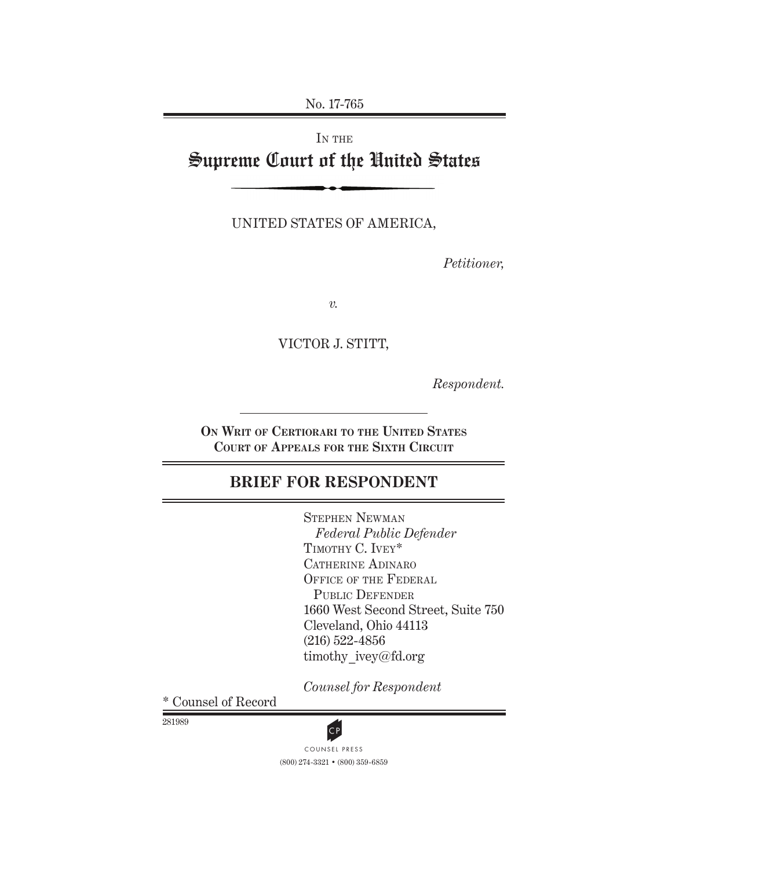No. 17-765

# IN THE Supreme Court of the United States

UNITED STATES OF AMERICA,

*Petitioner,*

*v.*

VICTOR J. STITT,

*Respondent.*

**On Writ of Certiorari to the United States Court of Appeals for the Sixth Circuit**

# **BRIEF FOR RESPONDENT**

Stephen Newman *Federal Public Defender* TIMOTHY C. IVEY\* CATHERINE ADINARO OFFICE OF THE FEDERAL PUBLIC DEFENDER 1660 West Second Street, Suite 750 Cleveland, Ohio 44113 (216) 522-4856 timothy\_ivey@fd.org

*Counsel for Respondent*

\* Counsel of Record

281989



(800) 274-3321 • (800) 359-6859 CP<br>COUNSEL PRESS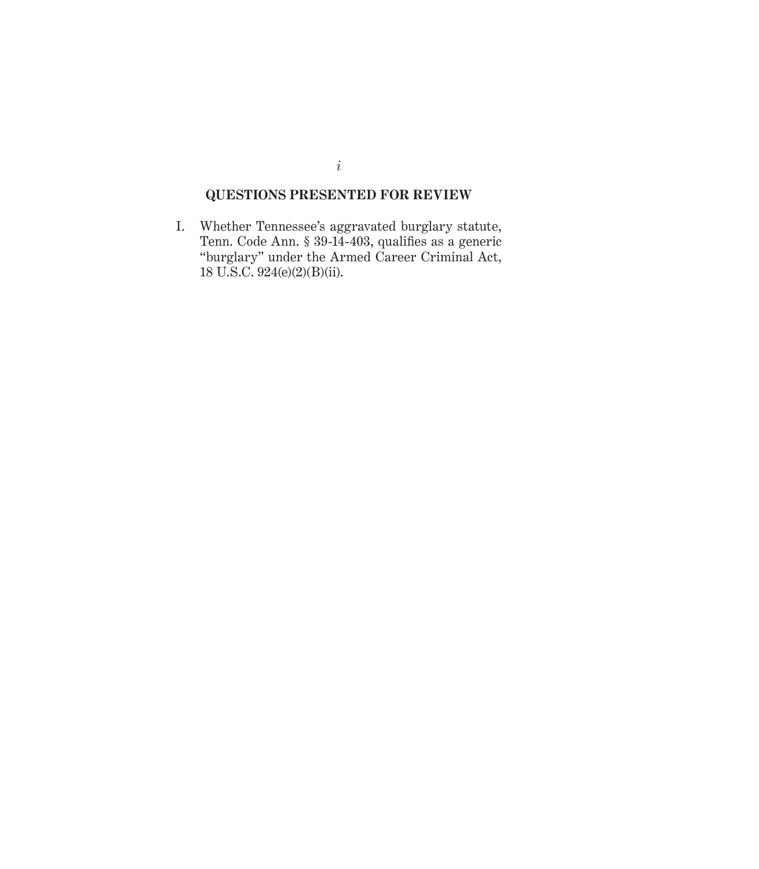# **QUESTIONS PRESENTED FOR REVIEW**

I. Whether Tennessee's aggravated burglary statute, Tenn. Code Ann. § 39-14-403, qualifies as a generic "burglary" under the Armed Career Criminal Act, 18 U.S.C. 924(e)(2)(B)(ii).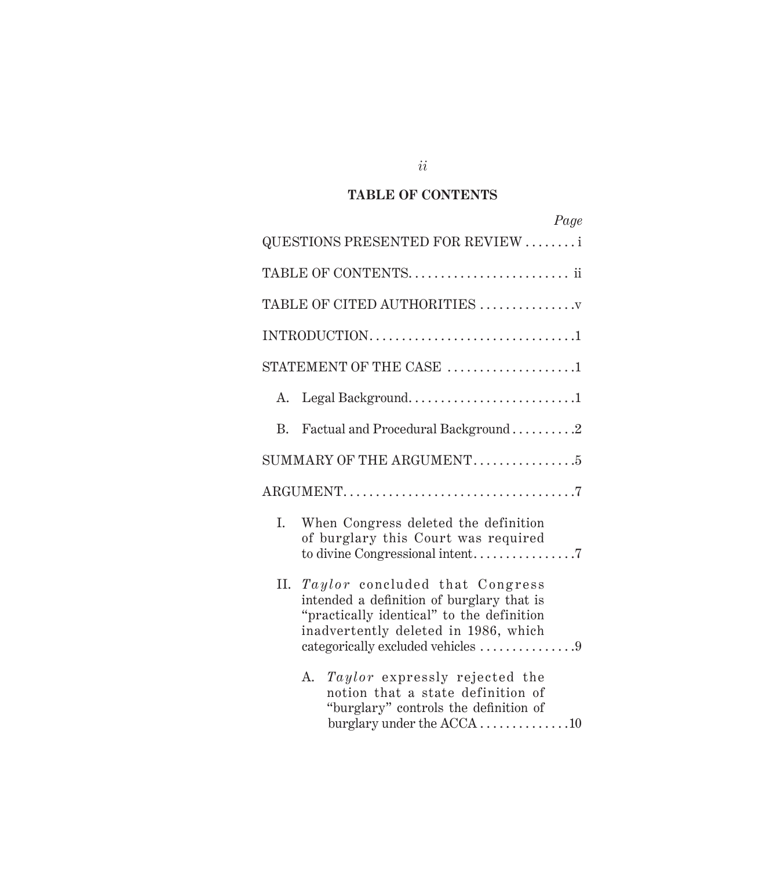# **TaBLE OF CONTENTS**

|    | Page                                                                                                                                                                                                  |
|----|-------------------------------------------------------------------------------------------------------------------------------------------------------------------------------------------------------|
|    | QUESTIONS PRESENTED FOR REVIEW                                                                                                                                                                        |
|    | TABLE OF CONTENTS ii                                                                                                                                                                                  |
|    | TABLE OF CITED AUTHORITIES                                                                                                                                                                            |
|    |                                                                                                                                                                                                       |
|    | STATEMENT OF THE CASE $\,\ldots\ldots\ldots\ldots\ldots\ldots\ldots\,$                                                                                                                                |
| A. |                                                                                                                                                                                                       |
| B. | Factual and Procedural Background 2                                                                                                                                                                   |
|    | SUMMARY OF THE ARGUMENT. $\dots\dots\dots\dots\dots$                                                                                                                                                  |
|    |                                                                                                                                                                                                       |
| I. | When Congress deleted the definition<br>of burglary this Court was required                                                                                                                           |
| П. | Taylor concluded that Congress<br>intended a definition of burglary that is<br>"practically identical" to the definition<br>inadvertently deleted in 1986, which<br>categorically excluded vehicles 9 |
|    | Taylor expressly rejected the<br>A.<br>notion that a state definition of<br>"burglary" controls the definition of<br>burglary under the $ACCA$ 10                                                     |

*ii*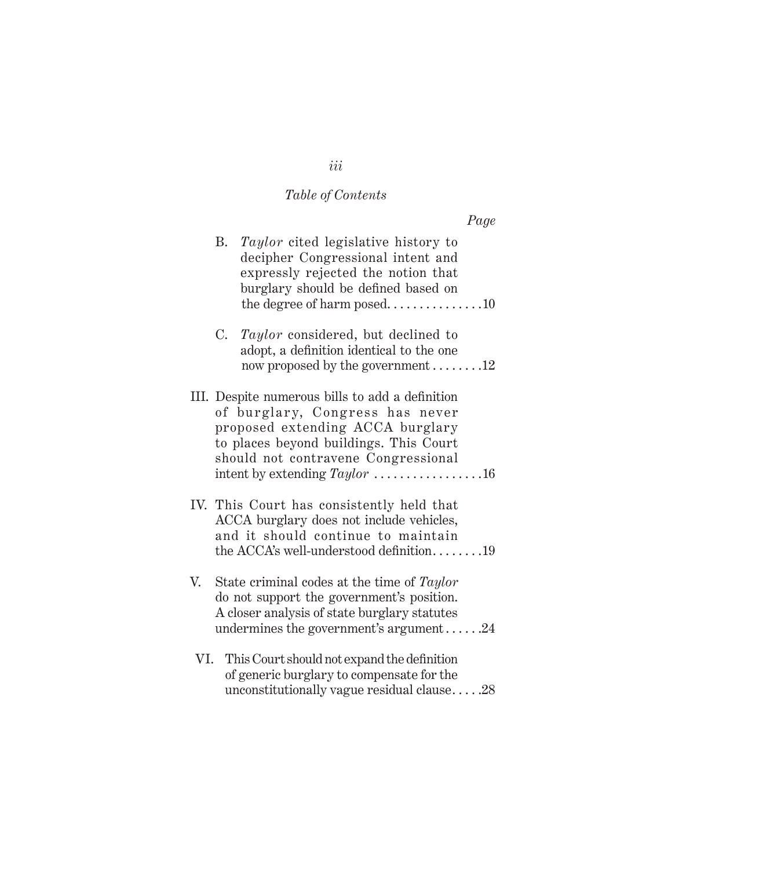# *Table of Contents*

|    |           |                                                                                                                                                                                                                                            | Page |
|----|-----------|--------------------------------------------------------------------------------------------------------------------------------------------------------------------------------------------------------------------------------------------|------|
|    | <b>B.</b> | Taylor cited legislative history to<br>decipher Congressional intent and<br>expressly rejected the notion that<br>burglary should be defined based on<br>the degree of harm posed10                                                        |      |
|    | C.        | Taylor considered, but declined to<br>adopt, a definition identical to the one<br>now proposed by the government $\dots \dots 12$                                                                                                          |      |
|    |           | III. Despite numerous bills to add a definition<br>of burglary, Congress has never<br>proposed extending ACCA burglary<br>to places beyond buildings. This Court<br>should not contravene Congressional<br>intent by extending $Taylor$ 16 |      |
|    |           | IV. This Court has consistently held that<br>ACCA burglary does not include vehicles,<br>and it should continue to maintain<br>the ACCA's well-understood definition19                                                                     |      |
| V. |           | State criminal codes at the time of Taylor<br>do not support the government's position.<br>A closer analysis of state burglary statutes<br>undermines the government's argument $24$                                                       |      |
|    |           | VI. This Court should not expand the definition<br>of generic burglary to compensate for the                                                                                                                                               |      |

unconstitutionally vague residual clause.  $\ldots$  .28

# *iii*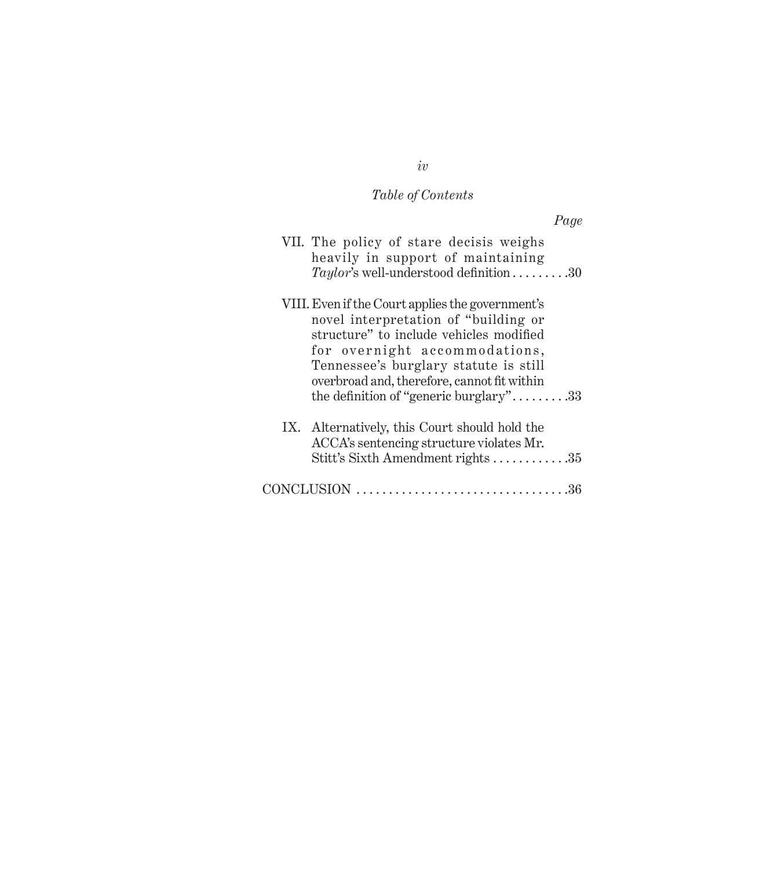#### *Table of Contents*

*Page* VII. The policy of stare decisis weighs heavily in support of maintaining *Taylor's* well-understood definition . . . . . . . . . 30 VIII.Even if the Court applies the government's novel interpretation of "building or structure" to include vehicles modified for overnight accommodations, Tennessee's burglary statute is still overbroad and, therefore, cannot fit within the definition of "generic burglary"......... $33$ IX. Alternatively, this Court should hold the ACCA's sentencing structure violates Mr. Stitt's Sixth Amendment rights . . . . . . . . . . . .35 CONCLUSION . 36

#### *iv*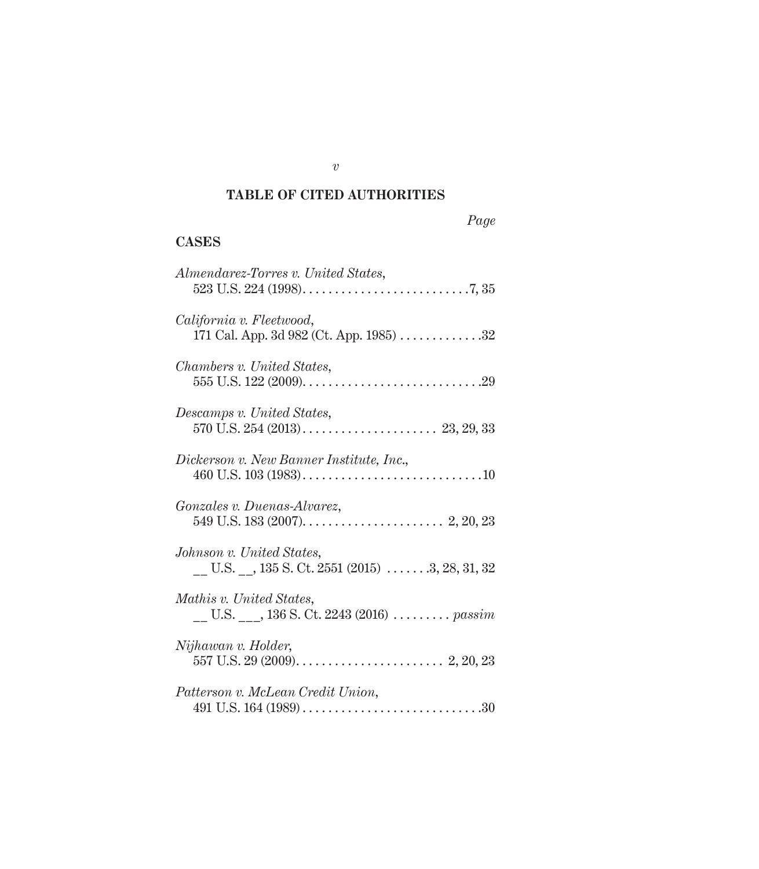# **TaBLE OF CITED aUThORITIES**

|--|

## **Cases**

| Almendarez-Torres v. United States,                                                                                            |
|--------------------------------------------------------------------------------------------------------------------------------|
| California v. Fleetwood,<br>171 Cal. App. 3d 982 (Ct. App. 1985) 32                                                            |
| Chambers v. United States,                                                                                                     |
| Descamps v. United States,                                                                                                     |
| Dickerson v. New Banner Institute, Inc.,                                                                                       |
| Gonzales v. Duenas-Alvarez,                                                                                                    |
| Johnson v. United States,<br>$\underline{\hspace{1cm}}$ U.S. $\underline{\hspace{1cm}}$ , 135 S. Ct. 2551 (2015) 3, 28, 31, 32 |
| Mathis v. United States,<br>U.S. $, 136$ S. Ct. 2243 (2016) $\ldots \ldots \ldots$ passim                                      |
| Nijhawan v. Holder,                                                                                                            |
| Patterson v. McLean Credit Union,                                                                                              |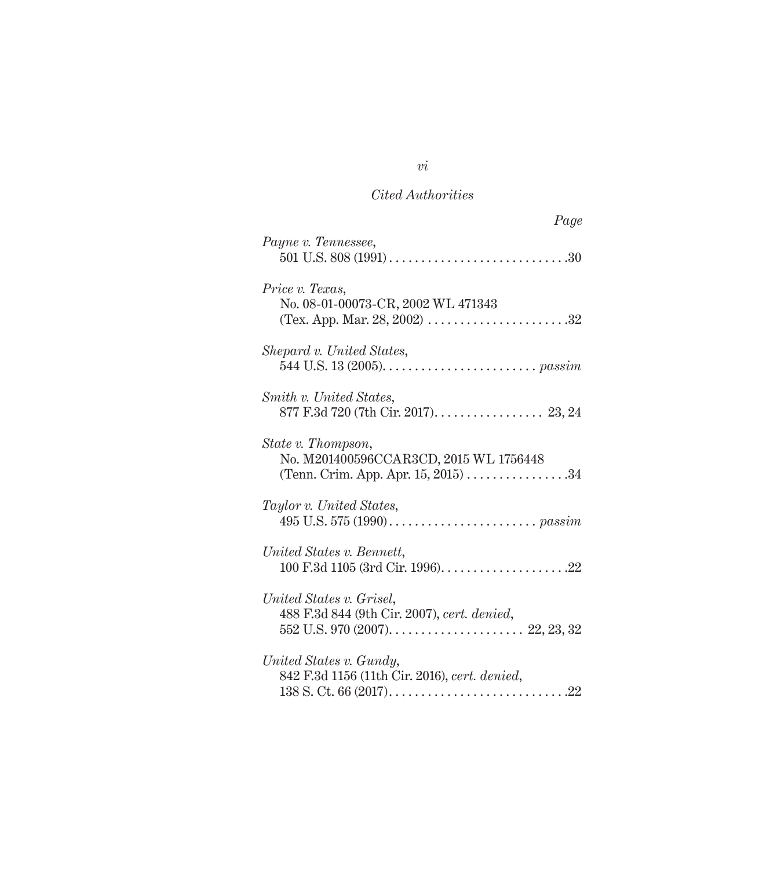| Page                                                                     |
|--------------------------------------------------------------------------|
| Payne v. Tennessee,                                                      |
| Price v. Texas,<br>No. 08-01-00073-CR, 2002 WL 471343                    |
| Shepard v. United States,                                                |
| Smith v. United States,<br>877 F.3d 720 (7th Cir. 2017). 23, 24          |
| State v. Thompson,<br>No. M201400596CCAR3CD, 2015 WL 1756448             |
| Taylor v. United States,                                                 |
| United States v. Bennett,                                                |
| United States v. Grisel,<br>488 F.3d 844 (9th Cir. 2007), cert. denied,  |
| United States v. Gundy,<br>842 F.3d 1156 (11th Cir. 2016), cert. denied, |

*vi*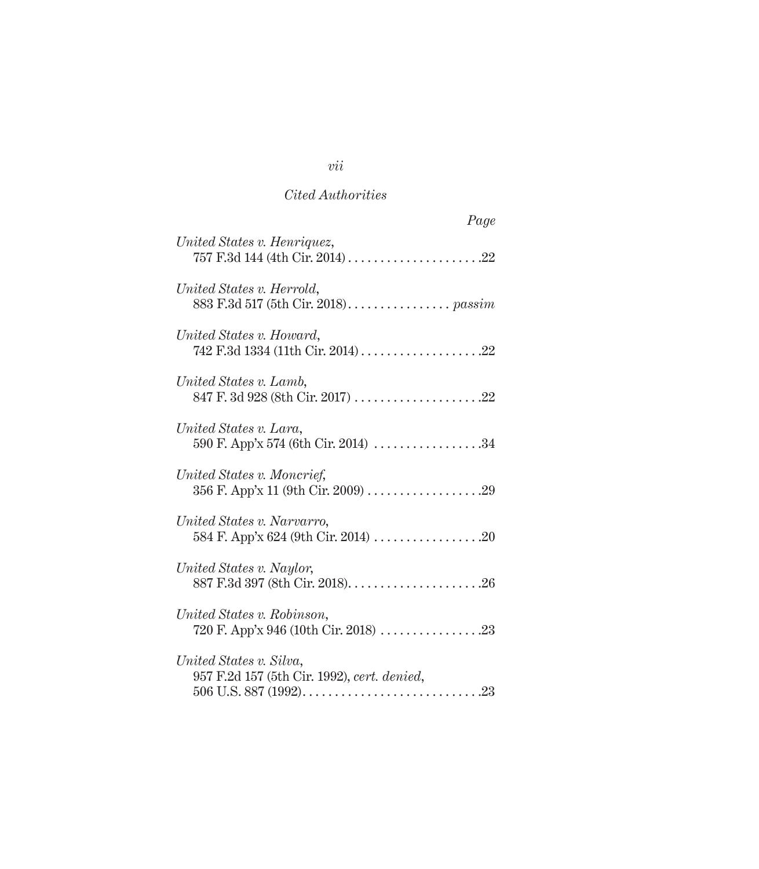| Page                                                                   |
|------------------------------------------------------------------------|
| United States v. Henriquez,                                            |
| United States v. Herrold,                                              |
| United States v. Howard,                                               |
| United States v. Lamb,<br>847 F. 3d 928 (8th Cir. 2017) 22             |
| United States v. Lara,<br>590 F. App'x 574 (6th Cir. 2014) 34          |
| United States v. Moncrief,                                             |
| United States v. Narvarro,                                             |
| United States v. Naylor,                                               |
| United States v. Robinson,                                             |
| United States v. Silva,<br>957 F.2d 157 (5th Cir. 1992), cert. denied, |

*vii*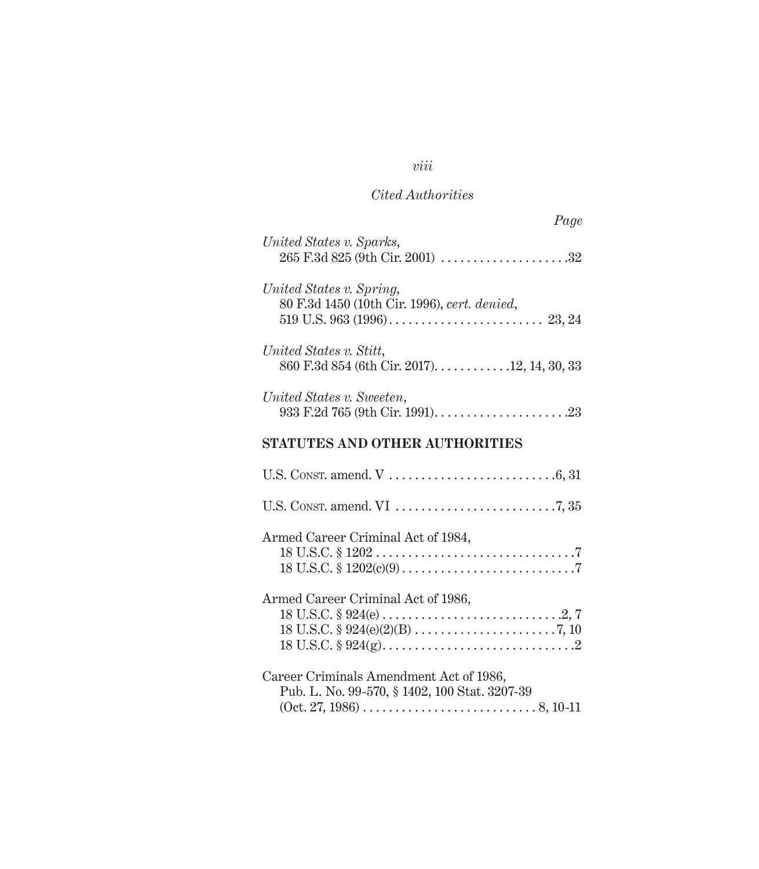# *viii*

# *Cited Authorities*

| Page                                                                                     |
|------------------------------------------------------------------------------------------|
| United States v. Sparks,                                                                 |
| United States v. Spring,<br>80 F.3d 1450 (10th Cir. 1996), cert. denied,                 |
| United States v. Stitt,<br>860 F.3d 854 (6th Cir. 2017). 12, 14, 30, 33                  |
| United States v. Sweeten,                                                                |
| <b>STATUTES AND OTHER AUTHORITIES</b>                                                    |
|                                                                                          |
|                                                                                          |
| Armed Career Criminal Act of 1984,                                                       |
| Armed Career Criminal Act of 1986,                                                       |
| Career Criminals Amendment Act of 1986,<br>Pub. L. No. 99-570, § 1402, 100 Stat. 3207-39 |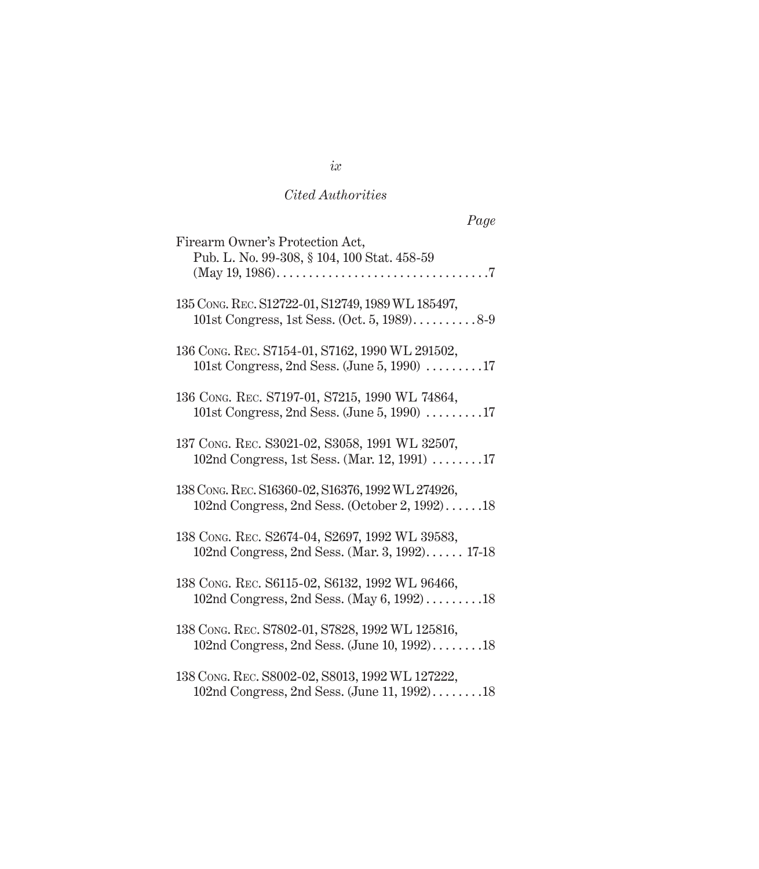| Page                                                                                                   |
|--------------------------------------------------------------------------------------------------------|
| Firearm Owner's Protection Act,<br>Pub. L. No. 99-308, § 104, 100 Stat. 458-59                         |
| 135 Cong. REC. S12722-01, S12749, 1989 WL 185497,<br>101st Congress, 1st Sess. (Oct. 5, $1989$ )8-9    |
| 136 CONG. REC. S7154-01, S7162, 1990 WL 291502,<br>101st Congress, 2nd Sess. (June 5, 1990) $\dots$ 17 |
| 136 CONG. REC. S7197-01, S7215, 1990 WL 74864,<br>101st Congress, 2nd Sess. (June 5, 1990) $\dots$ 17  |
| 137 CONG. REC. S3021-02, S3058, 1991 WL 32507,<br>102nd Congress, 1st Sess. (Mar. 12, 1991) 17         |
| 138 Cong. REC. S16360-02, S16376, 1992 WL 274926,<br>102nd Congress, 2nd Sess. (October 2, 1992)18     |
| 138 CONG. REC. S2674-04, S2697, 1992 WL 39583,<br>102nd Congress, 2nd Sess. (Mar. 3, 1992) 17-18       |
| 138 Cong. REC. S6115-02, S6132, 1992 WL 96466,<br>102nd Congress, 2nd Sess. (May 6, 1992)18            |
| 138 CONG. REC. S7802-01, S7828, 1992 WL 125816,<br>102nd Congress, 2nd Sess. (June 10, 1992)18         |
| 138 Cong. REC. S8002-02, S8013, 1992 WL 127222,<br>102nd Congress, 2nd Sess. (June 11, 1992)18         |

# *ix*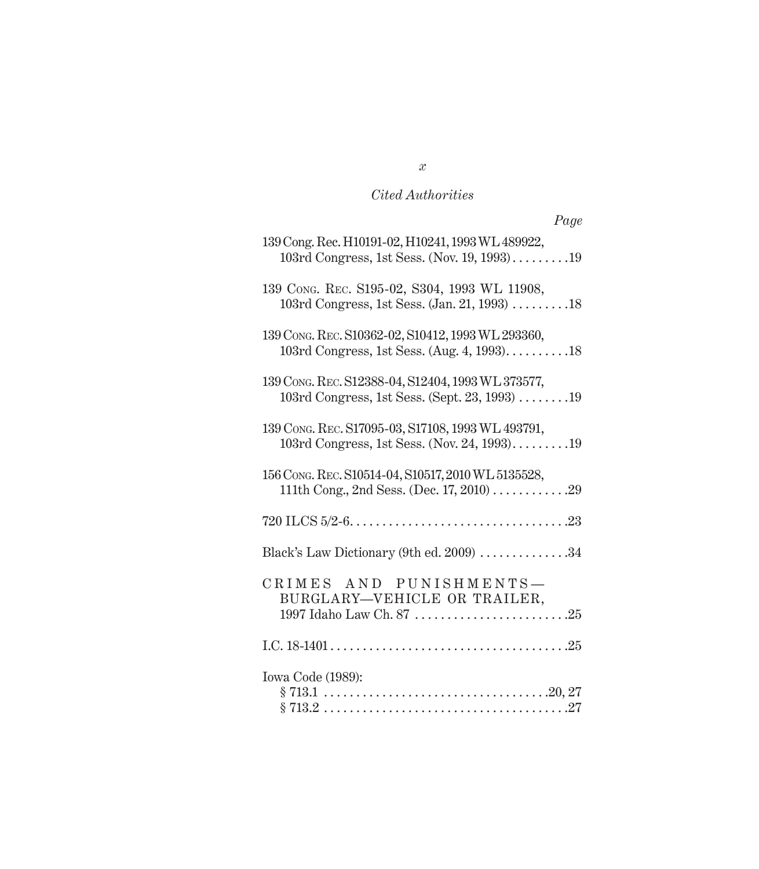| Page                                                                                                                          |
|-------------------------------------------------------------------------------------------------------------------------------|
| 139 Cong. Rec. H10191-02, H10241, 1993 WL 489922,<br>103rd Congress, 1st Sess. (Nov. 19, 1993)19                              |
| 139 CONG. REC. S195-02, S304, 1993 WL 11908,<br>103rd Congress, 1st Sess. (Jan. 21, 1993) 18                                  |
| 139 CONG. REC. S10362-02, S10412, 1993 WL 293360,<br>103rd Congress, 1st Sess. (Aug. 4, 1993)18                               |
| 139 CONG. REC. S12388-04, S12404, 1993 WL 373577,<br>103rd Congress, 1st Sess. (Sept. 23, 1993) $\dots \dots 19$              |
| 139 CONG. REC. S17095-03, S17108, 1993 WL 493791,<br>103rd Congress, 1st Sess. (Nov. 24, 1993)19                              |
| 156 Cong. REC. S10514-04, S10517, 2010 WL 5135528,<br>111th Cong., 2nd Sess. (Dec. 17, 2010) 29                               |
|                                                                                                                               |
| Black's Law Dictionary (9th ed. 2009) $\dots\dots\dots\dots 34$                                                               |
| CRIMES AND PUNISHMENTS-<br>BURGLARY-VEHICLE OR TRAILER,<br>1997 Idaho Law Ch. 87 $\dots\dots\dots\dots\dots\dots\dots\dots25$ |
|                                                                                                                               |
| Iowa Code (1989):                                                                                                             |

#### *x*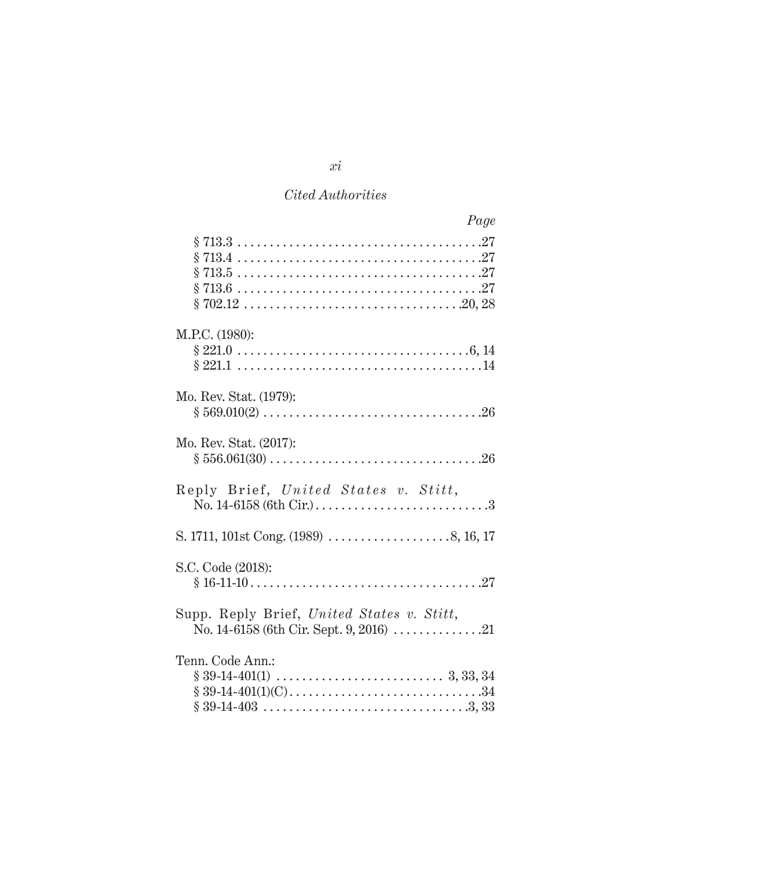| Page                                                                                                                                   |
|----------------------------------------------------------------------------------------------------------------------------------------|
|                                                                                                                                        |
| M.P.C. (1980):                                                                                                                         |
| Mo. Rev. Stat. (1979):                                                                                                                 |
| Mo. Rev. Stat. (2017):                                                                                                                 |
| Reply Brief, United States v. Stitt,<br>No. $14 - 6158$ (6th Cir.) $\dots \dots \dots \dots \dots \dots \dots \dots \dots \dots \dots$ |
|                                                                                                                                        |
| S.C. Code (2018):                                                                                                                      |
| Supp. Reply Brief, United States v. Stitt,<br>No. 14-6158 (6th Cir. Sept. 9, 2016) 21                                                  |
| Tenn. Code Ann.:                                                                                                                       |

*xi*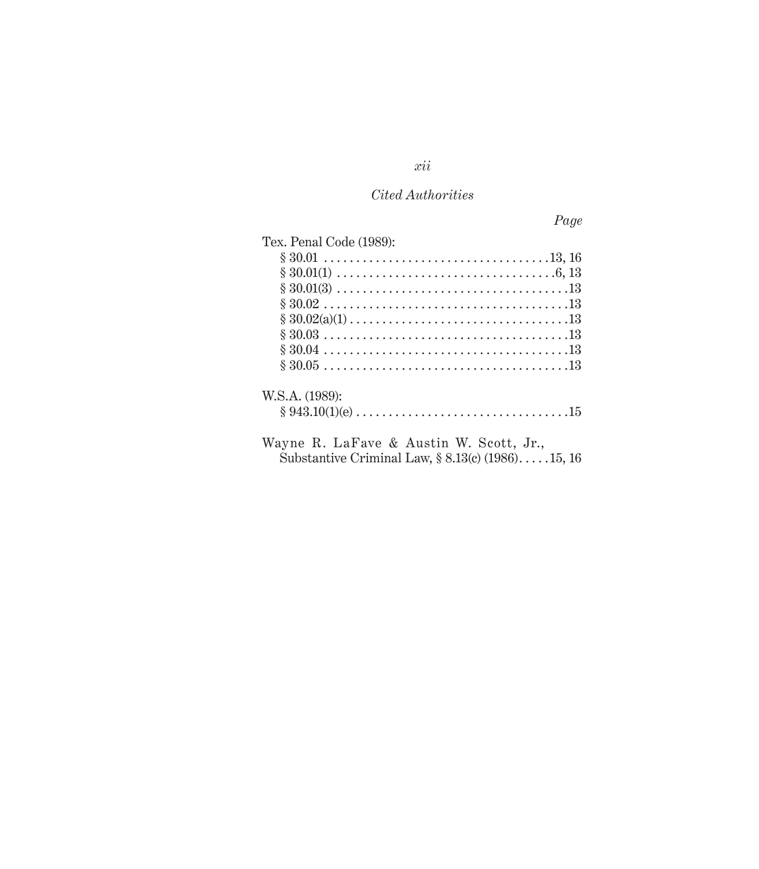*Page*

| Tex. Penal Code (1989):                             |  |
|-----------------------------------------------------|--|
|                                                     |  |
|                                                     |  |
|                                                     |  |
|                                                     |  |
|                                                     |  |
|                                                     |  |
|                                                     |  |
|                                                     |  |
| W.S.A. (1989):                                      |  |
|                                                     |  |
| Wayne R. LaFave & Austin W. Scott, Jr.,             |  |
| Substantive Criminal Law, $\S 8.13(c)$ (1986)15, 16 |  |

*xii*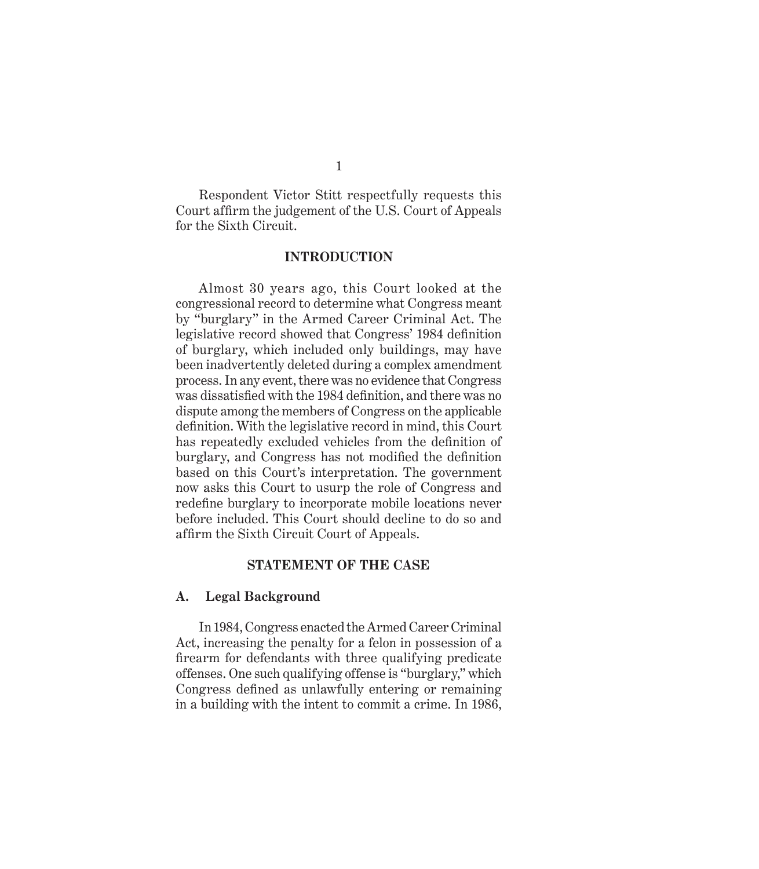Respondent Victor Stitt respectfully requests this Court affirm the judgement of the U.S. Court of Appeals for the Sixth Circuit.

#### **INTRODUCTION**

Almost 30 years ago, this Court looked at the congressional record to determine what Congress meant by "burglary" in the Armed Career Criminal Act. The legislative record showed that Congress' 1984 definition of burglary, which included only buildings, may have been inadvertently deleted during a complex amendment process. In any event, there was no evidence that Congress was dissatisfied with the 1984 definition, and there was no dispute among the members of Congress on the applicable definition. With the legislative record in mind, this Court has repeatedly excluded vehicles from the definition of burglary, and Congress has not modified the definition based on this Court's interpretation. The government now asks this Court to usurp the role of Congress and redefine burglary to incorporate mobile locations never before included. This Court should decline to do so and affirm the Sixth Circuit Court of Appeals.

#### **STATEMENT OF THE CASE**

#### **A. Legal Background**

In 1984, Congress enacted the Armed Career Criminal Act, increasing the penalty for a felon in possession of a firearm for defendants with three qualifying predicate offenses. One such qualifying offense is "burglary," which Congress defined as unlawfully entering or remaining in a building with the intent to commit a crime. In 1986,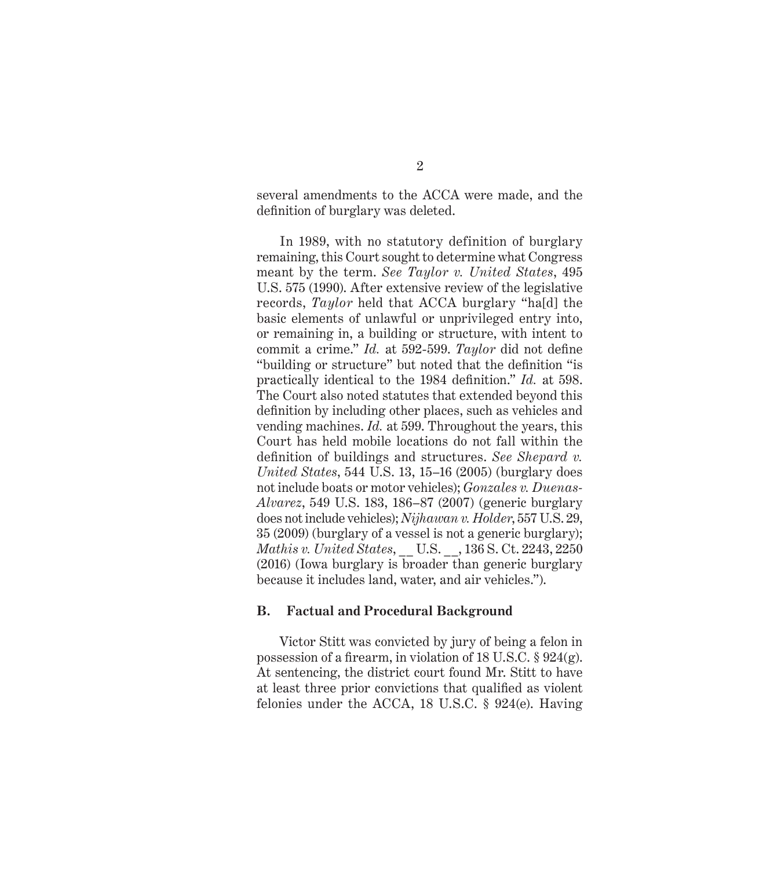several amendments to the ACCA were made, and the definition of burglary was deleted.

In 1989, with no statutory definition of burglary remaining, this Court sought to determine what Congress meant by the term. *See Taylor v. United States*, 495 U.S. 575 (1990). After extensive review of the legislative records, *Taylor* held that ACCA burglary "ha[d] the basic elements of unlawful or unprivileged entry into, or remaining in, a building or structure, with intent to commit a crime." *Id.* at 592-599. *Taylor* did not define "building or structure" but noted that the definition "is practically identical to the 1984 definition." *Id.* at 598. The Court also noted statutes that extended beyond this definition by including other places, such as vehicles and vending machines. *Id.* at 599. Throughout the years, this Court has held mobile locations do not fall within the definition of buildings and structures. *See Shepard v. United States*, 544 U.S. 13, 15–16 (2005) (burglary does not include boats or motor vehicles); *Gonzales v. Duenas-Alvarez*, 549 U.S. 183, 186–87 (2007) (generic burglary does not include vehicles); *Nijhawan v. Holder*, 557 U.S. 29, 35 (2009) (burglary of a vessel is not a generic burglary); *Mathis v. United States*, \_\_ U.S. \_\_, 136 S. Ct. 2243, 2250 (2016) (Iowa burglary is broader than generic burglary because it includes land, water, and air vehicles.").

#### **B. Factual and Procedural Background**

Victor Stitt was convicted by jury of being a felon in possession of a firearm, in violation of 18 U.S.C. § 924(g). At sentencing, the district court found Mr. Stitt to have at least three prior convictions that qualified as violent felonies under the ACCA, 18 U.S.C. § 924(e). Having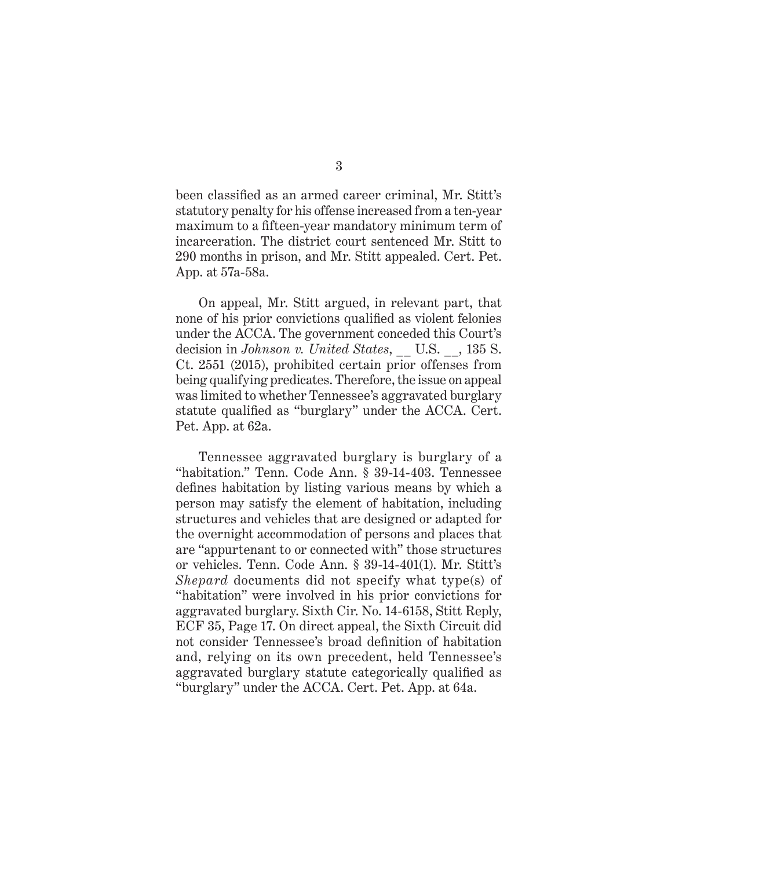been classified as an armed career criminal, Mr. Stitt's statutory penalty for his offense increased from a ten-year maximum to a fifteen-year mandatory minimum term of incarceration. The district court sentenced Mr. Stitt to 290 months in prison, and Mr. Stitt appealed. Cert. Pet. App. at 57a-58a.

On appeal, Mr. Stitt argued, in relevant part, that none of his prior convictions qualified as violent felonies under the ACCA. The government conceded this Court's decision in *Johnson v. United States*, \_\_ U.S. \_\_, 135 S. Ct. 2551 (2015), prohibited certain prior offenses from being qualifying predicates. Therefore, the issue on appeal was limited to whether Tennessee's aggravated burglary statute qualified as "burglary" under the ACCA. Cert. Pet. App. at 62a.

Tennessee aggravated burglary is burglary of a "habitation." Tenn. Code Ann. § 39-14-403. Tennessee defines habitation by listing various means by which a person may satisfy the element of habitation, including structures and vehicles that are designed or adapted for the overnight accommodation of persons and places that are "appurtenant to or connected with" those structures or vehicles. Tenn. Code Ann. § 39-14-401(1). Mr. Stitt's *Shepard* documents did not specify what type(s) of "habitation" were involved in his prior convictions for aggravated burglary. Sixth Cir. No. 14-6158, Stitt Reply, ECF 35, Page 17. On direct appeal, the Sixth Circuit did not consider Tennessee's broad definition of habitation and, relying on its own precedent, held Tennessee's aggravated burglary statute categorically qualified as "burglary" under the ACCA. Cert. Pet. App. at 64a.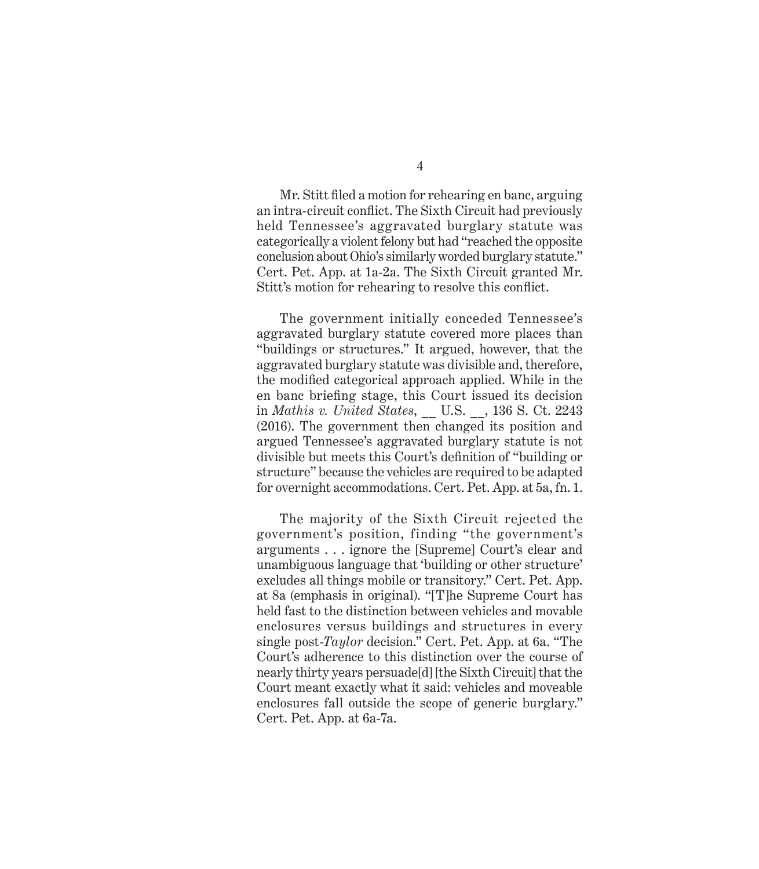4

Mr. Stitt filed a motion for rehearing en banc, arguing an intra-circuit conflict. The Sixth Circuit had previously held Tennessee's aggravated burglary statute was categorically a violent felony but had "reached the opposite conclusion about Ohio's similarly worded burglary statute." Cert. Pet. App. at 1a-2a. The Sixth Circuit granted Mr. Stitt's motion for rehearing to resolve this conflict.

The government initially conceded Tennessee's aggravated burglary statute covered more places than "buildings or structures." It argued, however, that the aggravated burglary statute was divisible and, therefore, the modified categorical approach applied. While in the en banc briefing stage, this Court issued its decision in *Mathis v. United States*, \_\_ U.S. \_\_, 136 S. Ct. 2243 (2016). The government then changed its position and argued Tennessee's aggravated burglary statute is not divisible but meets this Court's definition of "building or structure" because the vehicles are required to be adapted for overnight accommodations. Cert. Pet. App. at 5a, fn. 1.

The majority of the Sixth Circuit rejected the government's position, finding "the government's arguments . . . ignore the [Supreme] Court's clear and unambiguous language that 'building or other structure' excludes all things mobile or transitory." Cert. Pet. App. at 8a (emphasis in original). "[T]he Supreme Court has held fast to the distinction between vehicles and movable enclosures versus buildings and structures in every single post-*Taylor* decision." Cert. Pet. App. at 6a. "The Court's adherence to this distinction over the course of nearly thirty years persuade[d] [the Sixth Circuit] that the Court meant exactly what it said: vehicles and moveable enclosures fall outside the scope of generic burglary." Cert. Pet. App. at 6a-7a.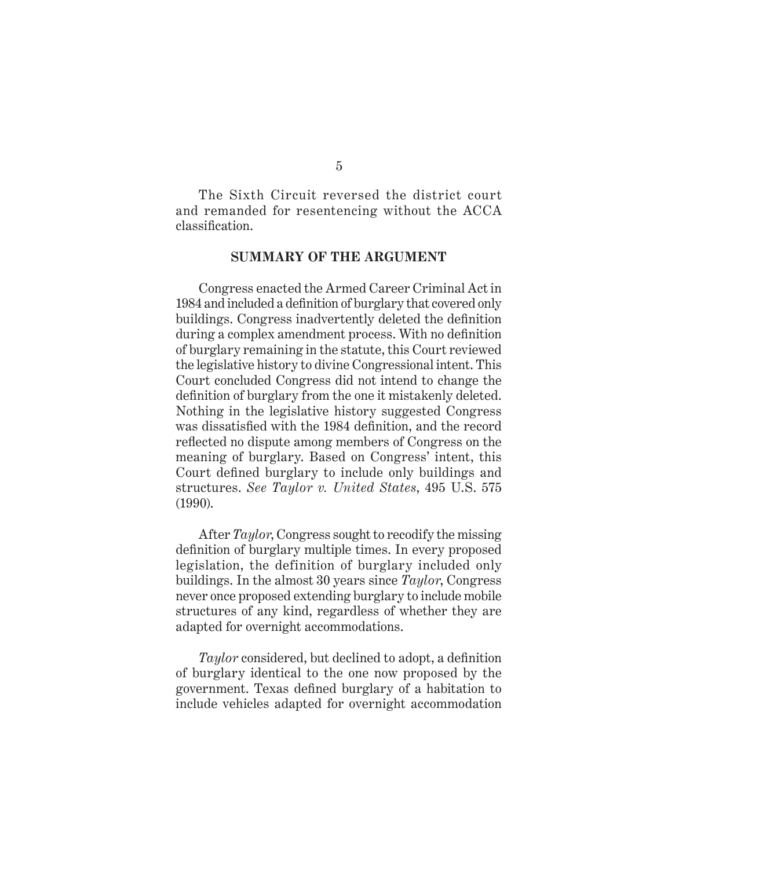The Sixth Circuit reversed the district court and remanded for resentencing without the ACCA classification.

#### **SUMMARY OF THE ARGUMENT**

Congress enacted the Armed Career Criminal Act in 1984 and included a definition of burglary that covered only buildings. Congress inadvertently deleted the definition during a complex amendment process. With no definition of burglary remaining in the statute, this Court reviewed the legislative history to divine Congressional intent. This Court concluded Congress did not intend to change the definition of burglary from the one it mistakenly deleted. Nothing in the legislative history suggested Congress was dissatisfied with the 1984 definition, and the record reflected no dispute among members of Congress on the meaning of burglary. Based on Congress' intent, this Court defined burglary to include only buildings and structures. *See Taylor v. United States*, 495 U.S. 575 (1990).

After *Taylor*, Congress sought to recodify the missing definition of burglary multiple times. In every proposed legislation, the definition of burglary included only buildings. In the almost 30 years since *Taylor*, Congress never once proposed extending burglary to include mobile structures of any kind, regardless of whether they are adapted for overnight accommodations.

*Taylor* considered, but declined to adopt, a definition of burglary identical to the one now proposed by the government. Texas defined burglary of a habitation to include vehicles adapted for overnight accommodation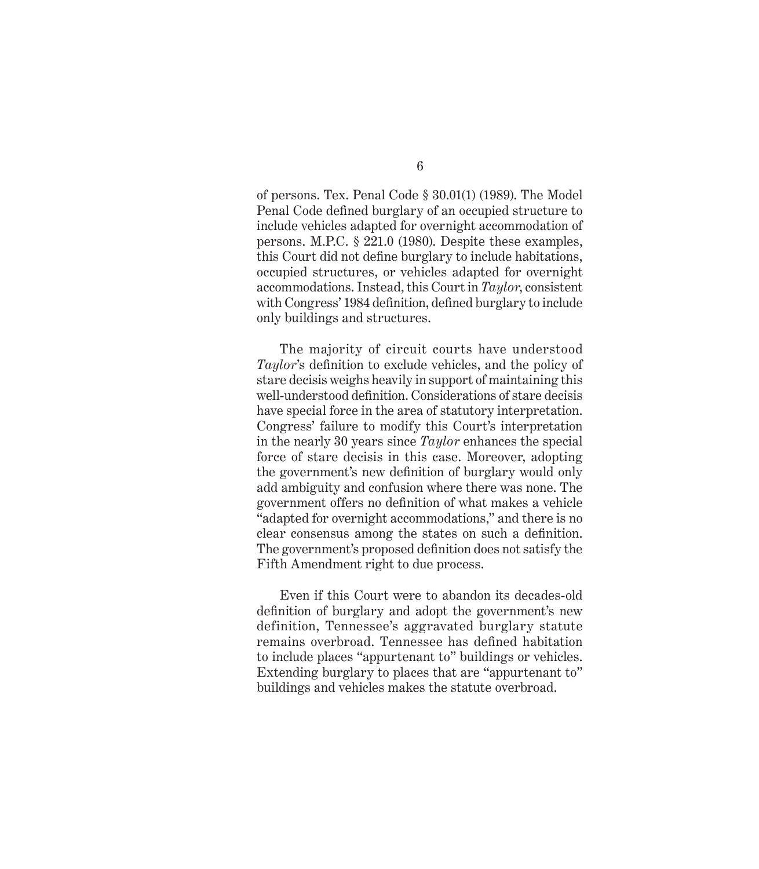of persons. Tex. Penal Code § 30.01(1) (1989). The Model Penal Code defined burglary of an occupied structure to include vehicles adapted for overnight accommodation of persons. M.P.C. § 221.0 (1980). Despite these examples, this Court did not define burglary to include habitations, occupied structures, or vehicles adapted for overnight accommodations. Instead, this Court in *Taylor*, consistent with Congress' 1984 definition, defined burglary to include only buildings and structures.

The majority of circuit courts have understood *Taylor*'s definition to exclude vehicles, and the policy of stare decisis weighs heavily in support of maintaining this well-understood definition. Considerations of stare decisis have special force in the area of statutory interpretation. Congress' failure to modify this Court's interpretation in the nearly 30 years since *Taylor* enhances the special force of stare decisis in this case. Moreover, adopting the government's new definition of burglary would only add ambiguity and confusion where there was none. The government offers no definition of what makes a vehicle "adapted for overnight accommodations," and there is no clear consensus among the states on such a definition. The government's proposed definition does not satisfy the Fifth Amendment right to due process.

Even if this Court were to abandon its decades-old definition of burglary and adopt the government's new definition, Tennessee's aggravated burglary statute remains overbroad. Tennessee has defined habitation to include places "appurtenant to" buildings or vehicles. Extending burglary to places that are "appurtenant to" buildings and vehicles makes the statute overbroad.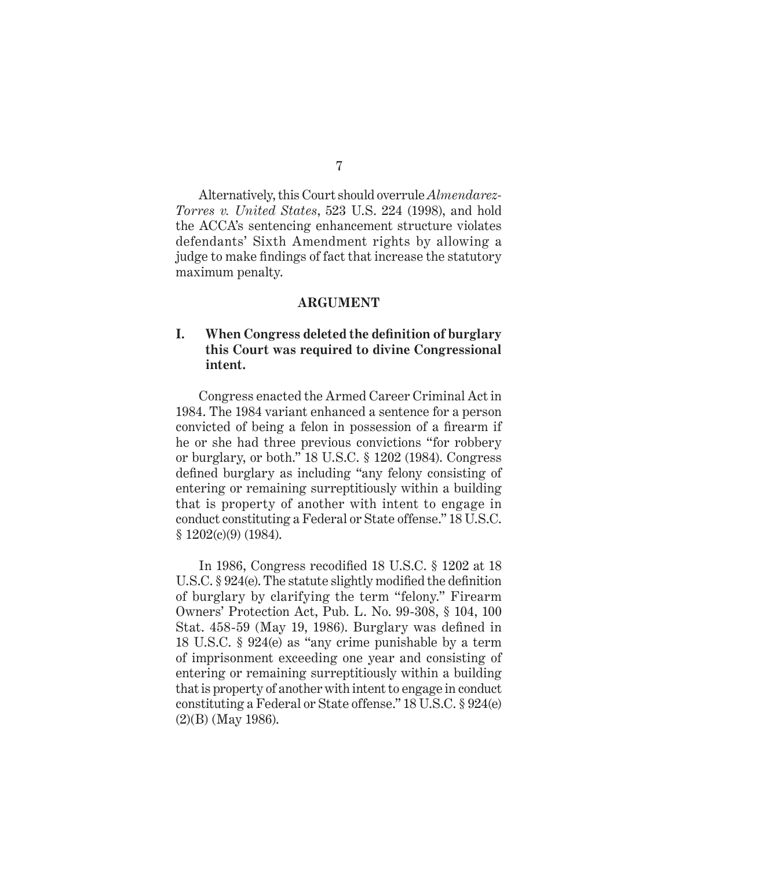Alternatively, this Court should overrule *Almendarez-Torres v. United States*, 523 U.S. 224 (1998), and hold the ACCA's sentencing enhancement structure violates defendants' Sixth Amendment rights by allowing a judge to make findings of fact that increase the statutory maximum penalty.

#### **ARGUMENT**

### **I. When Congress deleted the definition of burglary this Court was required to divine Congressional intent.**

Congress enacted the Armed Career Criminal Act in 1984. The 1984 variant enhanced a sentence for a person convicted of being a felon in possession of a firearm if he or she had three previous convictions "for robbery or burglary, or both." 18 U.S.C. § 1202 (1984). Congress defined burglary as including "any felony consisting of entering or remaining surreptitiously within a building that is property of another with intent to engage in conduct constituting a Federal or State offense." 18 U.S.C. § 1202(c)(9) (1984).

In 1986, Congress recodified 18 U.S.C. § 1202 at 18 U.S.C. § 924(e). The statute slightly modified the definition of burglary by clarifying the term "felony." Firearm Owners' Protection Act, Pub. L. No. 99-308, § 104, 100 Stat. 458-59 (May 19, 1986). Burglary was defined in 18 U.S.C. § 924(e) as "any crime punishable by a term of imprisonment exceeding one year and consisting of entering or remaining surreptitiously within a building that is property of another with intent to engage in conduct constituting a Federal or State offense." 18 U.S.C. § 924(e) (2)(B) (May 1986).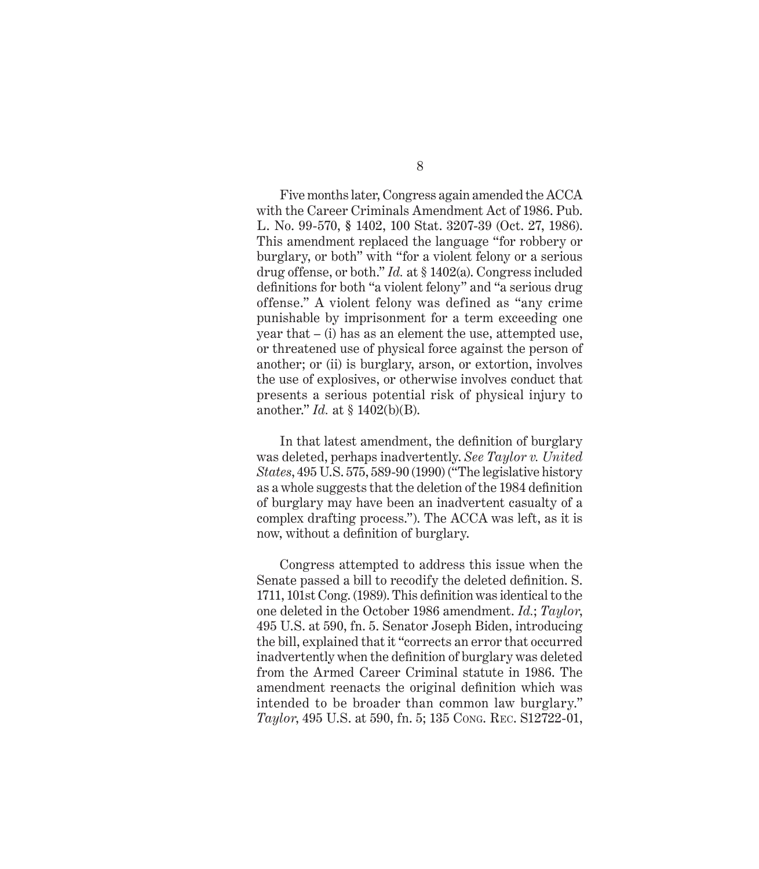Five months later, Congress again amended the ACCA with the Career Criminals Amendment Act of 1986. Pub. L. No. 99-570, **§** 1402, 100 Stat. 3207-39 (Oct. 27, 1986). This amendment replaced the language "for robbery or burglary, or both" with "for a violent felony or a serious drug offense, or both." *Id.* at § 1402(a). Congress included definitions for both "a violent felony" and "a serious drug offense." A violent felony was defined as "any crime punishable by imprisonment for a term exceeding one year that – (i) has as an element the use, attempted use, or threatened use of physical force against the person of another; or (ii) is burglary, arson, or extortion, involves the use of explosives, or otherwise involves conduct that presents a serious potential risk of physical injury to another." *Id.* at § 1402(b)(B).

In that latest amendment, the definition of burglary was deleted, perhaps inadvertently. *See Taylor v. United States*, 495 U.S. 575, 589-90 (1990) ("The legislative history as a whole suggests that the deletion of the 1984 definition of burglary may have been an inadvertent casualty of a complex drafting process."). The ACCA was left, as it is now, without a definition of burglary.

Congress attempted to address this issue when the Senate passed a bill to recodify the deleted definition. S. 1711, 101st Cong. (1989). This definition was identical to the one deleted in the October 1986 amendment. *Id.*; *Taylor*, 495 U.S. at 590, fn. 5. Senator Joseph Biden, introducing the bill, explained that it "corrects an error that occurred inadvertently when the definition of burglary was deleted from the Armed Career Criminal statute in 1986. The amendment reenacts the original definition which was intended to be broader than common law burglary." *Taylor*, 495 U.S. at 590, fn. 5; 135 Cong. Rec. S12722-01,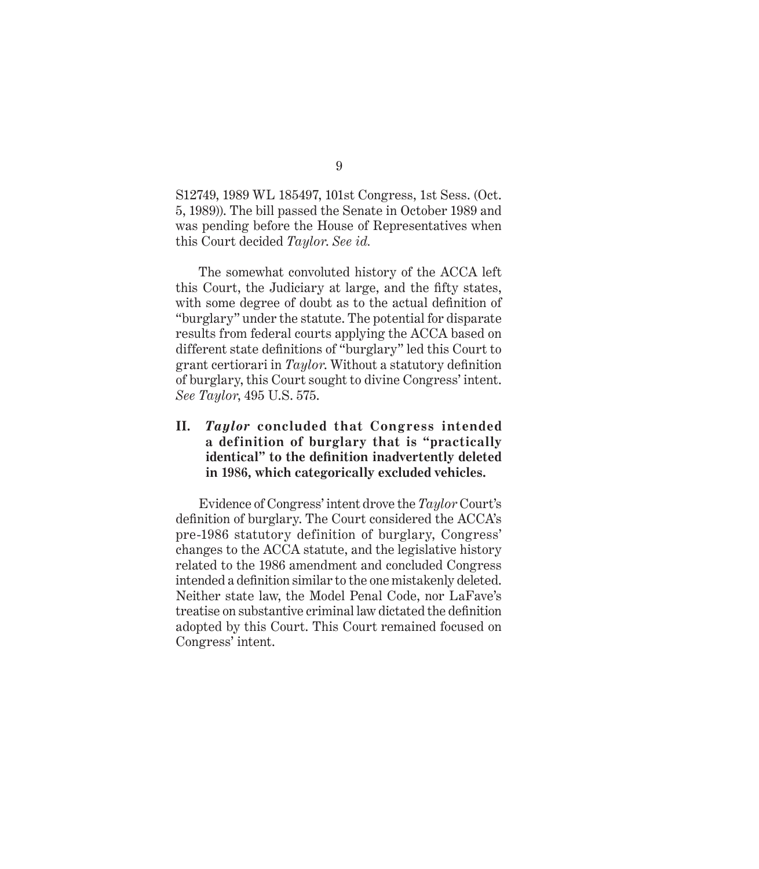S12749, 1989 WL 185497, 101st Congress, 1st Sess. (Oct. 5, 1989)). The bill passed the Senate in October 1989 and was pending before the House of Representatives when this Court decided *Taylor*. *See id.*

The somewhat convoluted history of the ACCA left this Court, the Judiciary at large, and the fifty states, with some degree of doubt as to the actual definition of "burglary" under the statute. The potential for disparate results from federal courts applying the ACCA based on different state definitions of "burglary" led this Court to grant certiorari in *Taylor*. Without a statutory definition of burglary, this Court sought to divine Congress' intent. *See Taylor*, 495 U.S. 575.

### **II.** *Taylor* **concluded that Congress intended a definition of burglary that is "practically identical" to the definition inadvertently deleted in 1986, which categorically excluded vehicles.**

Evidence of Congress' intent drove the *Taylor* Court's definition of burglary. The Court considered the ACCA's pre-1986 statutory definition of burglary, Congress' changes to the ACCA statute, and the legislative history related to the 1986 amendment and concluded Congress intended a definition similar to the one mistakenly deleted. Neither state law, the Model Penal Code, nor LaFave's treatise on substantive criminal law dictated the definition adopted by this Court. This Court remained focused on Congress' intent.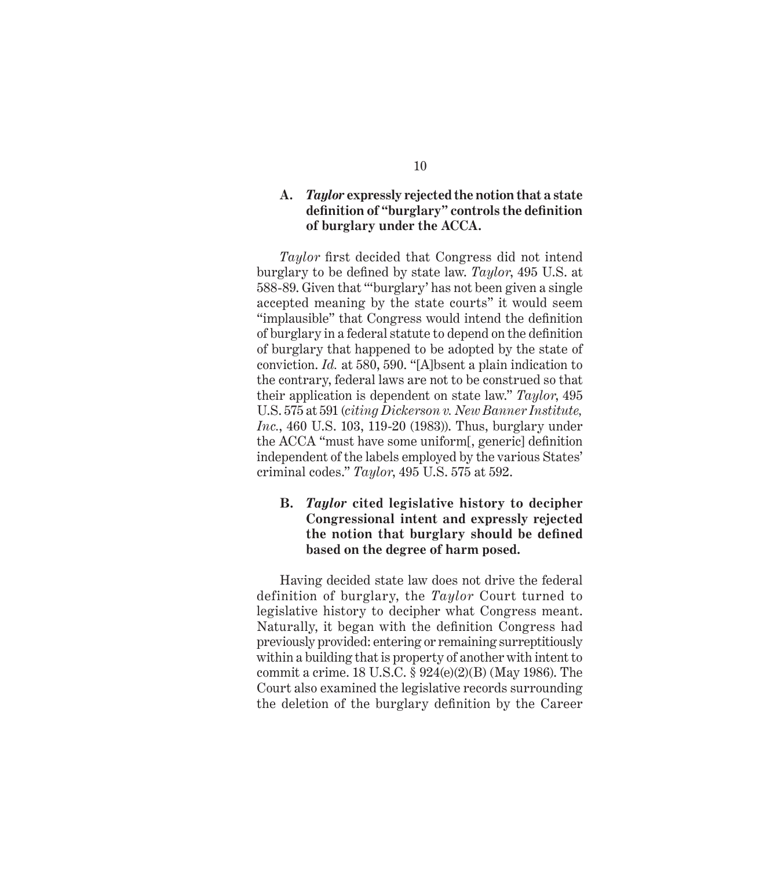### **A.** *Taylor* **expressly rejected the notion that a state definition of "burglary" controls the definition of burglary under the ACCA.**

*Taylor* first decided that Congress did not intend burglary to be defined by state law. *Taylor*, 495 U.S. at 588-89. Given that "'burglary' has not been given a single accepted meaning by the state courts" it would seem "implausible" that Congress would intend the definition of burglary in a federal statute to depend on the definition of burglary that happened to be adopted by the state of conviction. *Id.* at 580, 590. "[A]bsent a plain indication to the contrary, federal laws are not to be construed so that their application is dependent on state law." *Taylor*, 495 U.S. 575 at 591 (*citing Dickerson v. New Banner Institute, Inc.*, 460 U.S. 103, 119-20 (1983)). Thus, burglary under the ACCA "must have some uniform[, generic] definition independent of the labels employed by the various States' criminal codes." *Taylor*, 495 U.S. 575 at 592.

### **B.** *Taylor* **cited legislative history to decipher Congressional intent and expressly rejected the notion that burglary should be defined based on the degree of harm posed.**

Having decided state law does not drive the federal definition of burglary, the *Taylor* Court turned to legislative history to decipher what Congress meant. Naturally, it began with the definition Congress had previously provided: entering or remaining surreptitiously within a building that is property of another with intent to commit a crime. 18 U.S.C. § 924(e)(2)(B) (May 1986). The Court also examined the legislative records surrounding the deletion of the burglary definition by the Career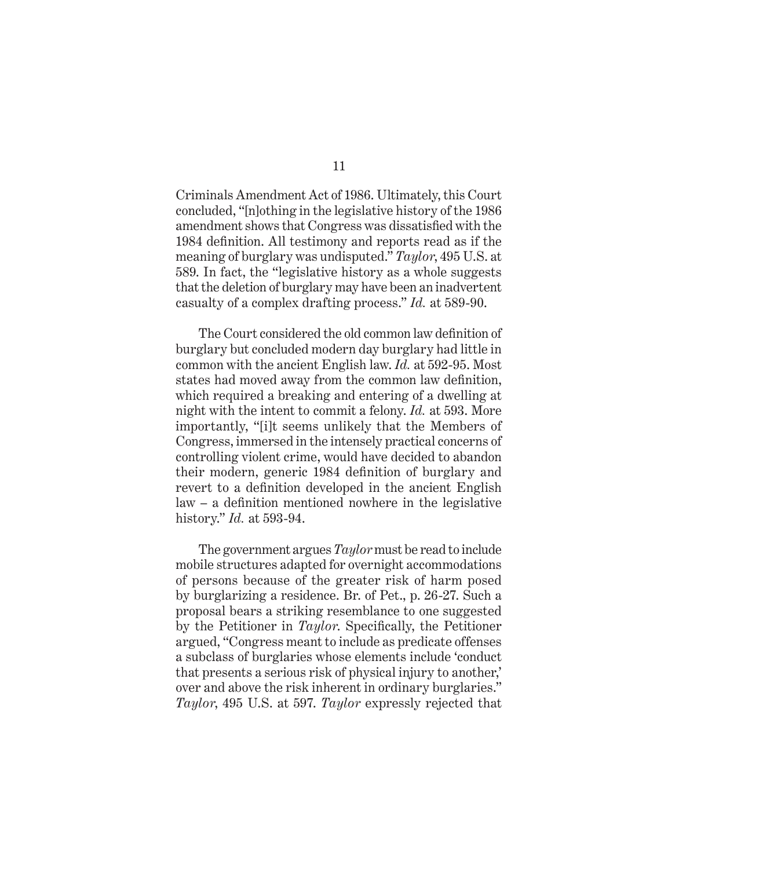Criminals Amendment Act of 1986. Ultimately, this Court concluded, "[n]othing in the legislative history of the 1986 amendment shows that Congress was dissatisfied with the 1984 definition. All testimony and reports read as if the meaning of burglary was undisputed." *Taylor*, 495 U.S. at 589. In fact, the "legislative history as a whole suggests that the deletion of burglary may have been an inadvertent casualty of a complex drafting process." *Id.* at 589-90.

The Court considered the old common law definition of burglary but concluded modern day burglary had little in common with the ancient English law. *Id.* at 592-95. Most states had moved away from the common law definition, which required a breaking and entering of a dwelling at night with the intent to commit a felony. *Id.* at 593. More importantly, "[i]t seems unlikely that the Members of Congress, immersed in the intensely practical concerns of controlling violent crime, would have decided to abandon their modern, generic 1984 definition of burglary and revert to a definition developed in the ancient English law – a definition mentioned nowhere in the legislative history." *Id.* at 593-94.

The government argues *Taylor* must be read to include mobile structures adapted for overnight accommodations of persons because of the greater risk of harm posed by burglarizing a residence. Br. of Pet., p. 26-27. Such a proposal bears a striking resemblance to one suggested by the Petitioner in *Taylor*. Specifically, the Petitioner argued, "Congress meant to include as predicate offenses a subclass of burglaries whose elements include 'conduct that presents a serious risk of physical injury to another,' over and above the risk inherent in ordinary burglaries." *Taylor*, 495 U.S. at 597. *Taylor* expressly rejected that

11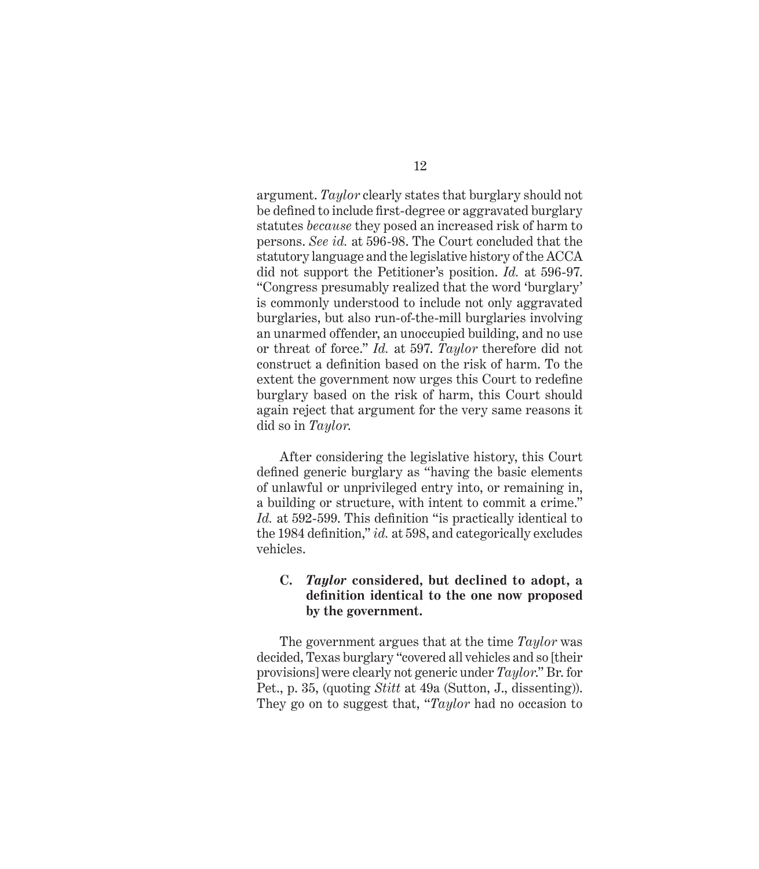argument. *Taylor* clearly states that burglary should not be defined to include first-degree or aggravated burglary statutes *because* they posed an increased risk of harm to persons. *See id.* at 596-98. The Court concluded that the statutory language and the legislative history of the ACCA did not support the Petitioner's position. *Id.* at 596-97. "Congress presumably realized that the word 'burglary' is commonly understood to include not only aggravated burglaries, but also run-of-the-mill burglaries involving an unarmed offender, an unoccupied building, and no use or threat of force." *Id.* at 597. *Taylor* therefore did not construct a definition based on the risk of harm. To the extent the government now urges this Court to redefine burglary based on the risk of harm, this Court should again reject that argument for the very same reasons it did so in *Taylor*.

After considering the legislative history, this Court defined generic burglary as "having the basic elements of unlawful or unprivileged entry into, or remaining in, a building or structure, with intent to commit a crime." *Id.* at 592-599. This definition "is practically identical to the 1984 definition," *id.* at 598, and categorically excludes vehicles.

### **C.** *Taylor* **considered, but declined to adopt, a definition identical to the one now proposed by the government.**

The government argues that at the time *Taylor* was decided, Texas burglary "covered all vehicles and so [their provisions] were clearly not generic under *Taylor*." Br. for Pet., p. 35, (quoting *Stitt* at 49a (Sutton, J., dissenting)). They go on to suggest that, "*Taylor* had no occasion to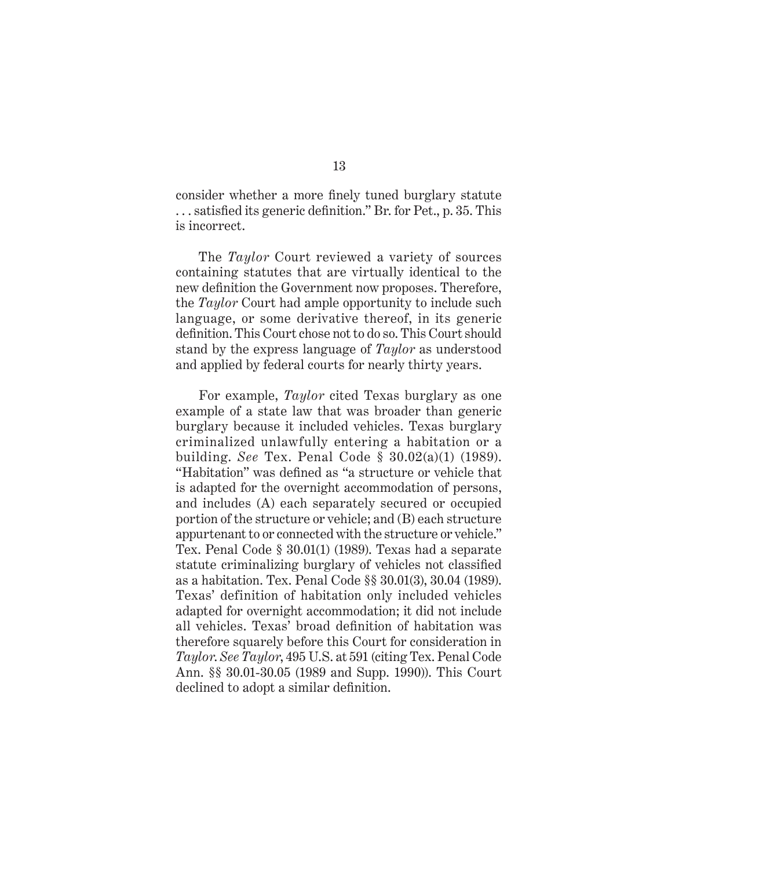consider whether a more finely tuned burglary statute . . . satisfied its generic definition." Br. for Pet., p. 35. This is incorrect.

The *Taylor* Court reviewed a variety of sources containing statutes that are virtually identical to the new definition the Government now proposes. Therefore, the *Taylor* Court had ample opportunity to include such language, or some derivative thereof, in its generic definition. This Court chose not to do so. This Court should stand by the express language of *Taylor* as understood and applied by federal courts for nearly thirty years.

For example, *Taylor* cited Texas burglary as one example of a state law that was broader than generic burglary because it included vehicles. Texas burglary criminalized unlawfully entering a habitation or a building. *See* Tex. Penal Code § 30.02(a)(1) (1989). "Habitation" was defined as "a structure or vehicle that is adapted for the overnight accommodation of persons, and includes (A) each separately secured or occupied portion of the structure or vehicle; and (B) each structure appurtenant to or connected with the structure or vehicle." Tex. Penal Code § 30.01(1) (1989). Texas had a separate statute criminalizing burglary of vehicles not classified as a habitation. Tex. Penal Code §§ 30.01(3), 30.04 (1989). Texas' definition of habitation only included vehicles adapted for overnight accommodation; it did not include all vehicles. Texas' broad definition of habitation was therefore squarely before this Court for consideration in *Taylor*. *See Taylor*, 495 U.S. at 591 (citing Tex. Penal Code Ann. §§ 30.01-30.05 (1989 and Supp. 1990)). This Court declined to adopt a similar definition.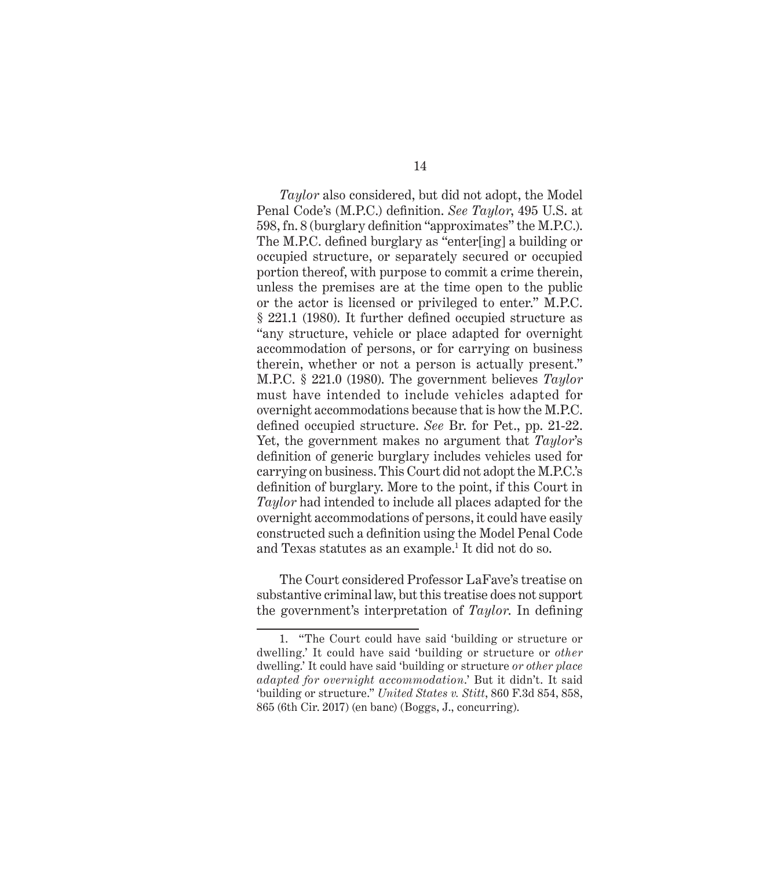*Taylor* also considered, but did not adopt, the Model Penal Code's (M.P.C.) definition. *See Taylor*, 495 U.S. at 598, fn. 8 (burglary definition "approximates" the M.P.C.). The M.P.C. defined burglary as "enter[ing] a building or occupied structure, or separately secured or occupied portion thereof, with purpose to commit a crime therein, unless the premises are at the time open to the public or the actor is licensed or privileged to enter." M.P.C. § 221.1 (1980). It further defined occupied structure as "any structure, vehicle or place adapted for overnight accommodation of persons, or for carrying on business therein, whether or not a person is actually present." M.P.C. § 221.0 (1980). The government believes *Taylor* must have intended to include vehicles adapted for overnight accommodations because that is how the M.P.C. defined occupied structure. *See* Br. for Pet., pp. 21-22. Yet, the government makes no argument that *Taylor*'s definition of generic burglary includes vehicles used for carrying on business. This Court did not adopt the M.P.C.'s definition of burglary. More to the point, if this Court in *Taylor* had intended to include all places adapted for the overnight accommodations of persons, it could have easily constructed such a definition using the Model Penal Code and Texas statutes as an example.<sup>1</sup> It did not do so.

The Court considered Professor LaFave's treatise on substantive criminal law, but this treatise does not support the government's interpretation of *Taylor*. In defining

<sup>1. &</sup>quot;The Court could have said 'building or structure or dwelling.' It could have said 'building or structure or *other* dwelling.' It could have said 'building or structure *or other place adapted for overnight accommodation*.' But it didn't. It said 'building or structure." *United States v. Stitt*, 860 F.3d 854, 858, 865 (6th Cir. 2017) (en banc) (Boggs, J., concurring).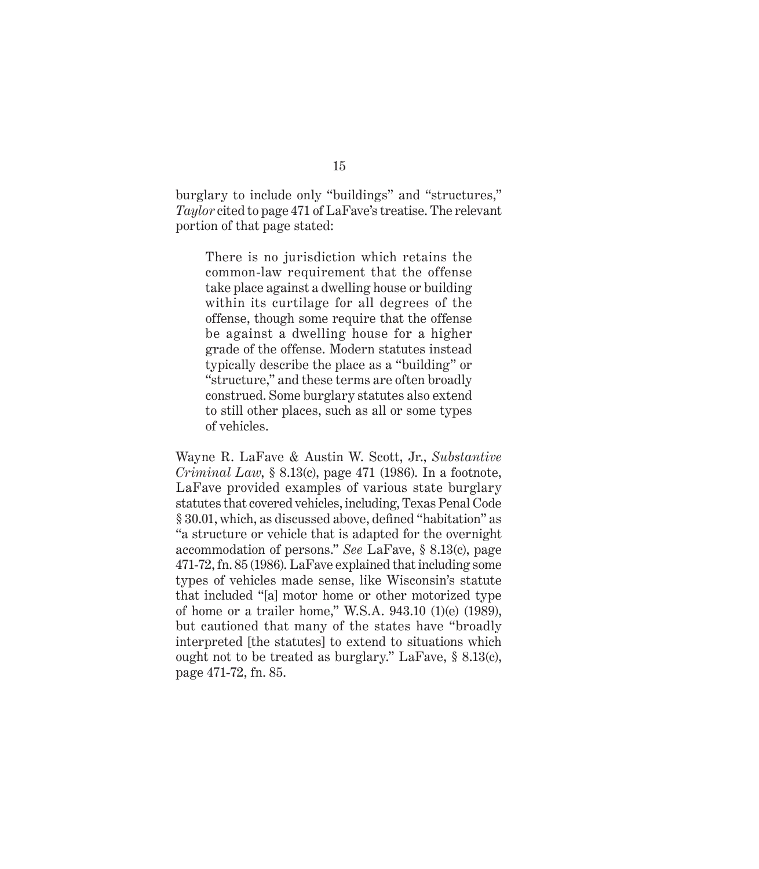burglary to include only "buildings" and "structures," *Taylor* cited to page 471 of LaFave's treatise. The relevant portion of that page stated:

There is no jurisdiction which retains the common-law requirement that the offense take place against a dwelling house or building within its curtilage for all degrees of the offense, though some require that the offense be against a dwelling house for a higher grade of the offense. Modern statutes instead typically describe the place as a "building" or "structure," and these terms are often broadly construed. Some burglary statutes also extend to still other places, such as all or some types of vehicles.

Wayne R. LaFave & Austin W. Scott, Jr., *Substantive Criminal Law*, § 8.13(c), page 471 (1986). In a footnote, LaFave provided examples of various state burglary statutes that covered vehicles, including, Texas Penal Code § 30.01, which, as discussed above, defined "habitation" as "a structure or vehicle that is adapted for the overnight accommodation of persons." *See* LaFave, § 8.13(c), page 471-72, fn. 85 (1986). LaFave explained that including some types of vehicles made sense, like Wisconsin's statute that included "[a] motor home or other motorized type of home or a trailer home," W.S.A. 943.10 (1)(e) (1989), but cautioned that many of the states have "broadly interpreted [the statutes] to extend to situations which ought not to be treated as burglary." LaFave, § 8.13(c), page 471-72, fn. 85.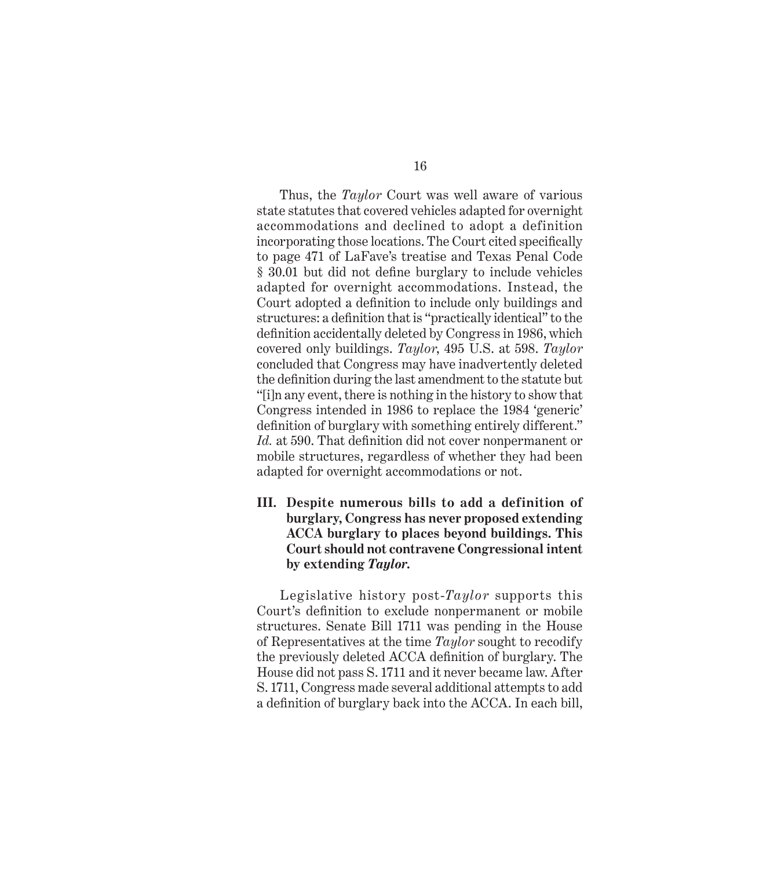Thus, the *Taylor* Court was well aware of various state statutes that covered vehicles adapted for overnight accommodations and declined to adopt a definition incorporating those locations. The Court cited specifically to page 471 of LaFave's treatise and Texas Penal Code § 30.01 but did not define burglary to include vehicles adapted for overnight accommodations. Instead, the Court adopted a definition to include only buildings and structures: a definition that is "practically identical" to the definition accidentally deleted by Congress in 1986, which covered only buildings. *Taylor*, 495 U.S. at 598. *Taylor* concluded that Congress may have inadvertently deleted the definition during the last amendment to the statute but "[i]n any event, there is nothing in the history to show that Congress intended in 1986 to replace the 1984 'generic' definition of burglary with something entirely different." *Id.* at 590. That definition did not cover nonpermanent or mobile structures, regardless of whether they had been adapted for overnight accommodations or not.

**III. Despite numerous bills to add a definition of burglary, Congress has never proposed extending ACCA burglary to places beyond buildings. This Court should not contravene Congressional intent by extending** *Taylor***.**

Legislative history post-*Taylor* supports this Court's definition to exclude nonpermanent or mobile structures. Senate Bill 1711 was pending in the House of Representatives at the time *Taylor* sought to recodify the previously deleted ACCA definition of burglary. The House did not pass S. 1711 and it never became law. After S. 1711, Congress made several additional attempts to add a definition of burglary back into the ACCA. In each bill,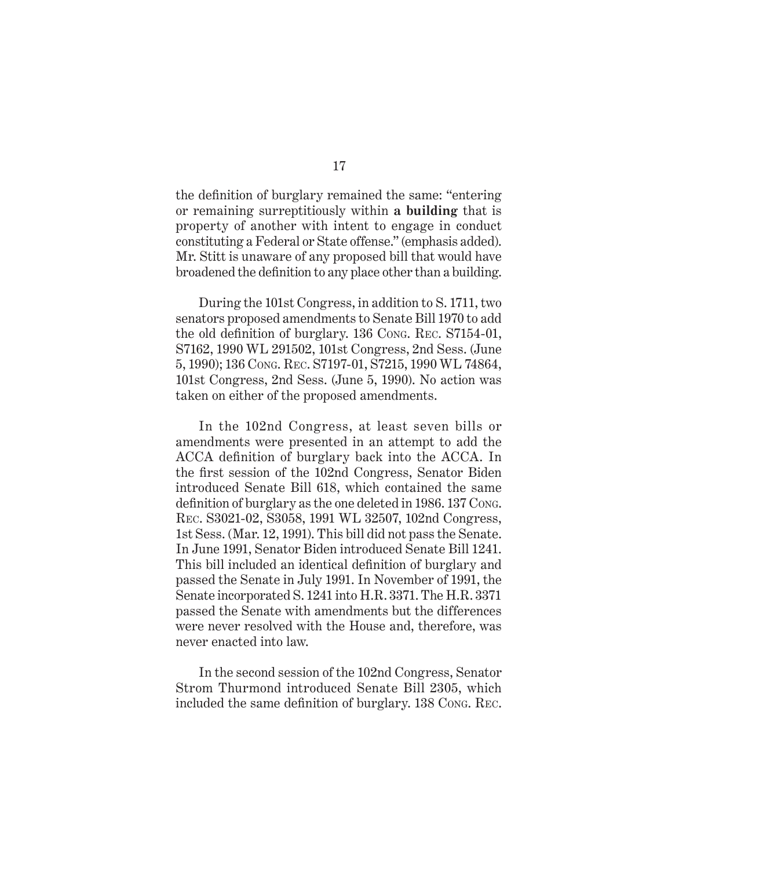the definition of burglary remained the same: "entering or remaining surreptitiously within **a building** that is property of another with intent to engage in conduct constituting a Federal or State offense." (emphasis added). Mr. Stitt is unaware of any proposed bill that would have broadened the definition to any place other than a building.

During the 101st Congress, in addition to S. 1711, two senators proposed amendments to Senate Bill 1970 to add the old definition of burglary. 136 Cong. Rec. S7154-01, S7162, 1990 WL 291502, 101st Congress, 2nd Sess. (June 5, 1990); 136 Cong. Rec. S7197-01, S7215, 1990 WL 74864, 101st Congress, 2nd Sess. (June 5, 1990). No action was taken on either of the proposed amendments.

In the 102nd Congress, at least seven bills or amendments were presented in an attempt to add the ACCA definition of burglary back into the ACCA. In the first session of the 102nd Congress, Senator Biden introduced Senate Bill 618, which contained the same definition of burglary as the one deleted in 1986. 137 Cong. Rec. S3021-02, S3058, 1991 WL 32507, 102nd Congress, 1st Sess. (Mar. 12, 1991). This bill did not pass the Senate. In June 1991, Senator Biden introduced Senate Bill 1241. This bill included an identical definition of burglary and passed the Senate in July 1991. In November of 1991, the Senate incorporated S. 1241 into H.R. 3371. The H.R. 3371 passed the Senate with amendments but the differences were never resolved with the House and, therefore, was never enacted into law.

In the second session of the 102nd Congress, Senator Strom Thurmond introduced Senate Bill 2305, which included the same definition of burglary. 138 Cong. Rec.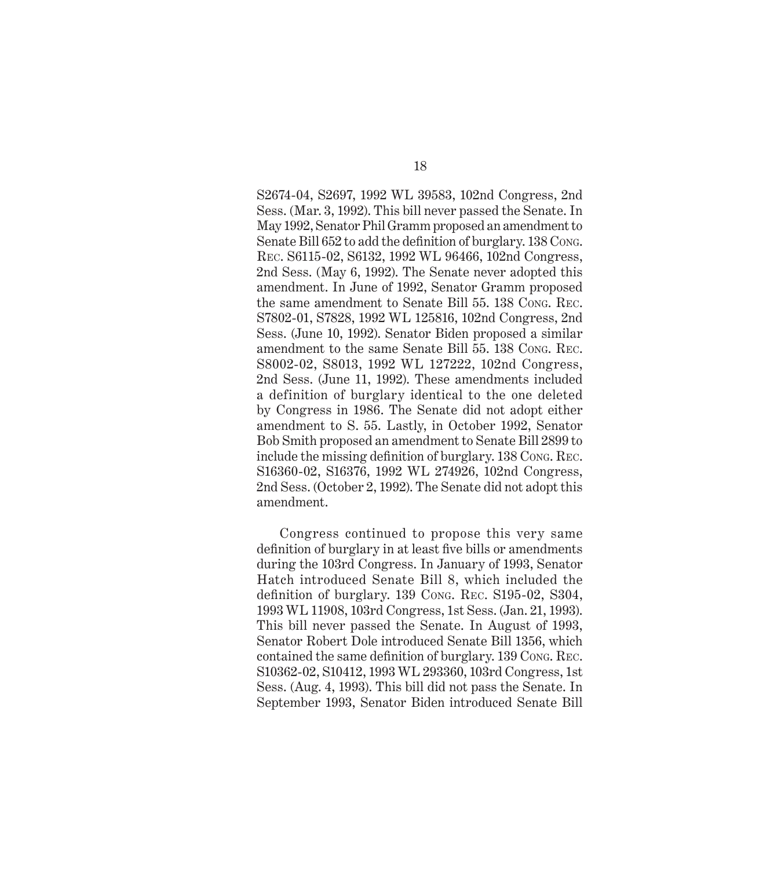S2674-04, S2697, 1992 WL 39583, 102nd Congress, 2nd Sess. (Mar. 3, 1992). This bill never passed the Senate. In May 1992, Senator Phil Gramm proposed an amendment to Senate Bill 652 to add the definition of burglary. 138 Cong. Rec. S6115-02, S6132, 1992 WL 96466, 102nd Congress, 2nd Sess. (May 6, 1992). The Senate never adopted this amendment. In June of 1992, Senator Gramm proposed the same amendment to Senate Bill 55. 138 Cong. Rec. S7802-01, S7828, 1992 WL 125816, 102nd Congress, 2nd Sess. (June 10, 1992). Senator Biden proposed a similar amendment to the same Senate Bill 55. 138 Cong. Rec. S8002-02, S8013, 1992 WL 127222, 102nd Congress, 2nd Sess. (June 11, 1992). These amendments included a definition of burglary identical to the one deleted by Congress in 1986. The Senate did not adopt either amendment to S. 55. Lastly, in October 1992, Senator Bob Smith proposed an amendment to Senate Bill 2899 to include the missing definition of burglary. 138 Cong. Rec. S16360-02, S16376, 1992 WL 274926, 102nd Congress, 2nd Sess. (October 2, 1992). The Senate did not adopt this amendment.

Congress continued to propose this very same definition of burglary in at least five bills or amendments during the 103rd Congress. In January of 1993, Senator Hatch introduced Senate Bill 8, which included the definition of burglary. 139 Cong. Rec. S195-02, S304, 1993 WL 11908, 103rd Congress, 1st Sess. (Jan. 21, 1993). This bill never passed the Senate. In August of 1993, Senator Robert Dole introduced Senate Bill 1356, which contained the same definition of burglary. 139 Cong. Rec. S10362-02, S10412, 1993 WL 293360, 103rd Congress, 1st Sess. (Aug. 4, 1993). This bill did not pass the Senate. In September 1993, Senator Biden introduced Senate Bill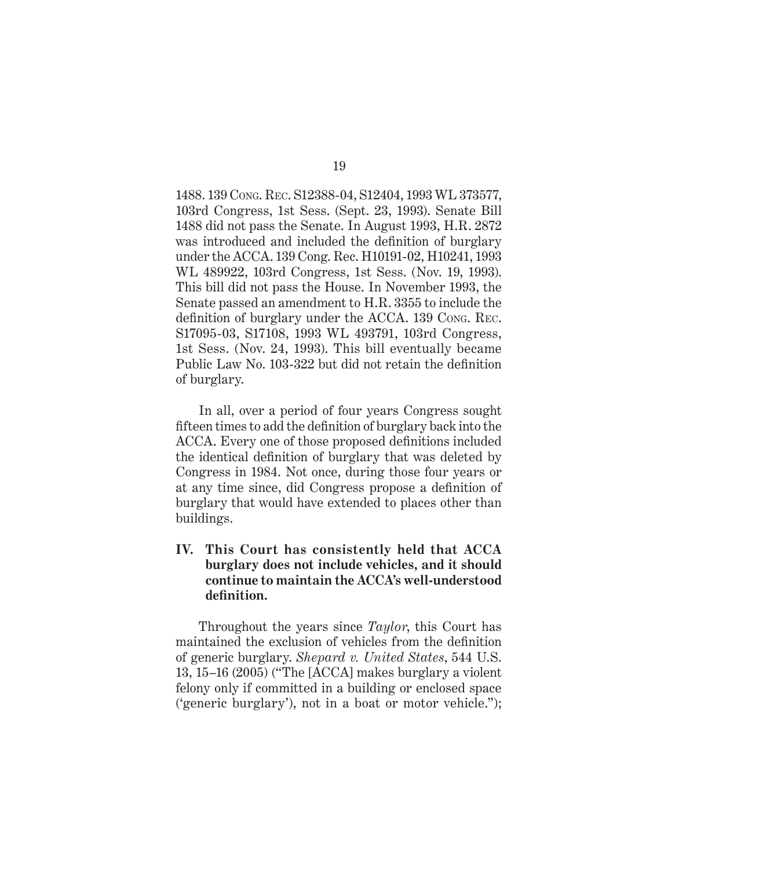1488. 139 Cong. Rec. S12388-04, S12404, 1993 WL 373577, 103rd Congress, 1st Sess. (Sept. 23, 1993). Senate Bill 1488 did not pass the Senate. In August 1993, H.R. 2872 was introduced and included the definition of burglary under the ACCA. 139 Cong. Rec. H10191-02, H10241, 1993 WL 489922, 103rd Congress, 1st Sess. (Nov. 19, 1993). This bill did not pass the House. In November 1993, the Senate passed an amendment to H.R. 3355 to include the definition of burglary under the ACCA. 139 Cong. Rec. S17095-03, S17108, 1993 WL 493791, 103rd Congress, 1st Sess. (Nov. 24, 1993). This bill eventually became Public Law No. 103-322 but did not retain the definition of burglary.

In all, over a period of four years Congress sought fifteen times to add the definition of burglary back into the ACCA. Every one of those proposed definitions included the identical definition of burglary that was deleted by Congress in 1984. Not once, during those four years or at any time since, did Congress propose a definition of burglary that would have extended to places other than buildings.

### **IV. This Court has consistently held that ACCA burglary does not include vehicles, and it should continue to maintain the ACCA's well-understood definition.**

Throughout the years since *Taylor*, this Court has maintained the exclusion of vehicles from the definition of generic burglary. *Shepard v. United States*, 544 U.S. 13, 15–16 (2005) ("The [ACCA] makes burglary a violent felony only if committed in a building or enclosed space ('generic burglary'), not in a boat or motor vehicle.");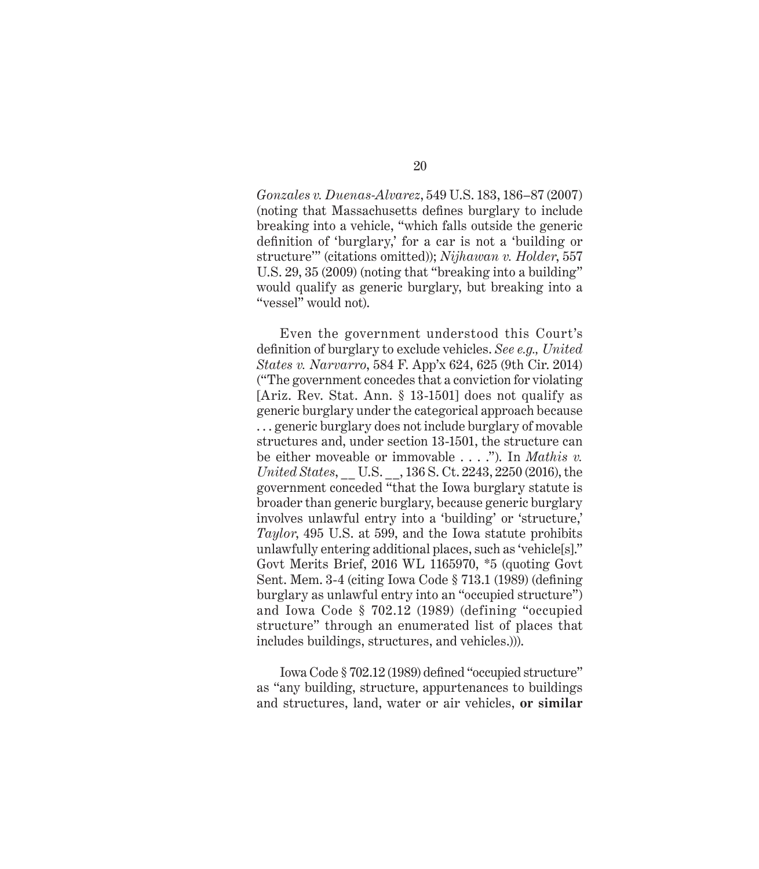*Gonzales v. Duenas-Alvarez*, 549 U.S. 183, 186–87 (2007) (noting that Massachusetts defines burglary to include breaking into a vehicle, "which falls outside the generic definition of 'burglary,' for a car is not a 'building or structure'" (citations omitted)); *Nijhawan v. Holder*, 557 U.S. 29, 35 (2009) (noting that "breaking into a building" would qualify as generic burglary, but breaking into a "vessel" would not).

Even the government understood this Court's definition of burglary to exclude vehicles. *See e.g., United States v. Narvarro*, 584 F. App'x 624, 625 (9th Cir. 2014) ("The government concedes that a conviction for violating [Ariz. Rev. Stat. Ann. § 13-1501] does not qualify as generic burglary under the categorical approach because . . . generic burglary does not include burglary of movable structures and, under section 13-1501, the structure can be either moveable or immovable . . . ."). In *Mathis v. United States*, \_\_ U.S. \_\_, 136 S. Ct. 2243, 2250 (2016), the government conceded "that the Iowa burglary statute is broader than generic burglary, because generic burglary involves unlawful entry into a 'building' or 'structure,' *Taylor*, 495 U.S. at 599, and the Iowa statute prohibits unlawfully entering additional places, such as 'vehicle[s]." Govt Merits Brief, 2016 WL 1165970, \*5 (quoting Govt Sent. Mem. 3-4 (citing Iowa Code § 713.1 (1989) (defining burglary as unlawful entry into an "occupied structure") and Iowa Code § 702.12 (1989) (defining "occupied structure" through an enumerated list of places that includes buildings, structures, and vehicles.))).

Iowa Code § 702.12 (1989) defined "occupied structure" as "any building, structure, appurtenances to buildings and structures, land, water or air vehicles, **or similar**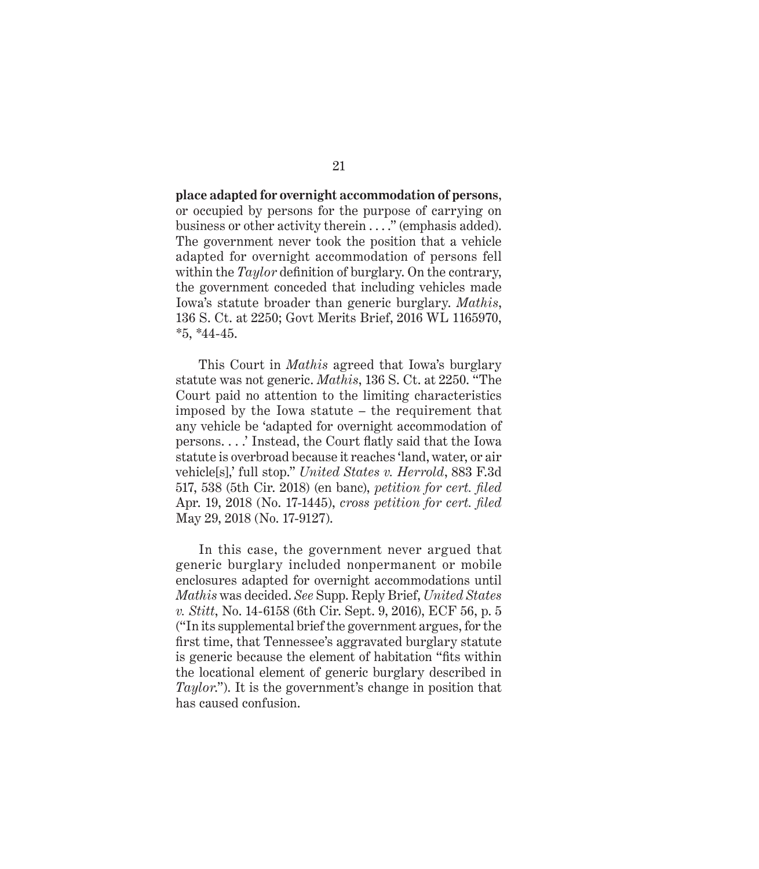**place adapted for overnight accommodation of persons**, or occupied by persons for the purpose of carrying on business or other activity therein . . . ." (emphasis added). The government never took the position that a vehicle adapted for overnight accommodation of persons fell within the *Taylor* definition of burglary. On the contrary, the government conceded that including vehicles made Iowa's statute broader than generic burglary. *Mathis*, 136 S. Ct. at 2250; Govt Merits Brief, 2016 WL 1165970, \*5, \*44-45.

This Court in *Mathis* agreed that Iowa's burglary statute was not generic. *Mathis*, 136 S. Ct. at 2250. "The Court paid no attention to the limiting characteristics imposed by the Iowa statute – the requirement that any vehicle be 'adapted for overnight accommodation of persons. . . .' Instead, the Court flatly said that the Iowa statute is overbroad because it reaches 'land, water, or air vehicle[s],' full stop." *United States v. Herrold*, 883 F.3d 517, 538 (5th Cir. 2018) (en banc), *petition for cert. filed* Apr. 19, 2018 (No. 17-1445), *cross petition for cert. filed* May 29, 2018 (No. 17-9127).

In this case, the government never argued that generic burglary included nonpermanent or mobile enclosures adapted for overnight accommodations until *Mathis* was decided. *See* Supp. Reply Brief, *United States v. Stitt*, No. 14-6158 (6th Cir. Sept. 9, 2016), ECF 56, p. 5 ("In its supplemental brief the government argues, for the first time, that Tennessee's aggravated burglary statute is generic because the element of habitation "fits within the locational element of generic burglary described in *Taylor*."). It is the government's change in position that has caused confusion.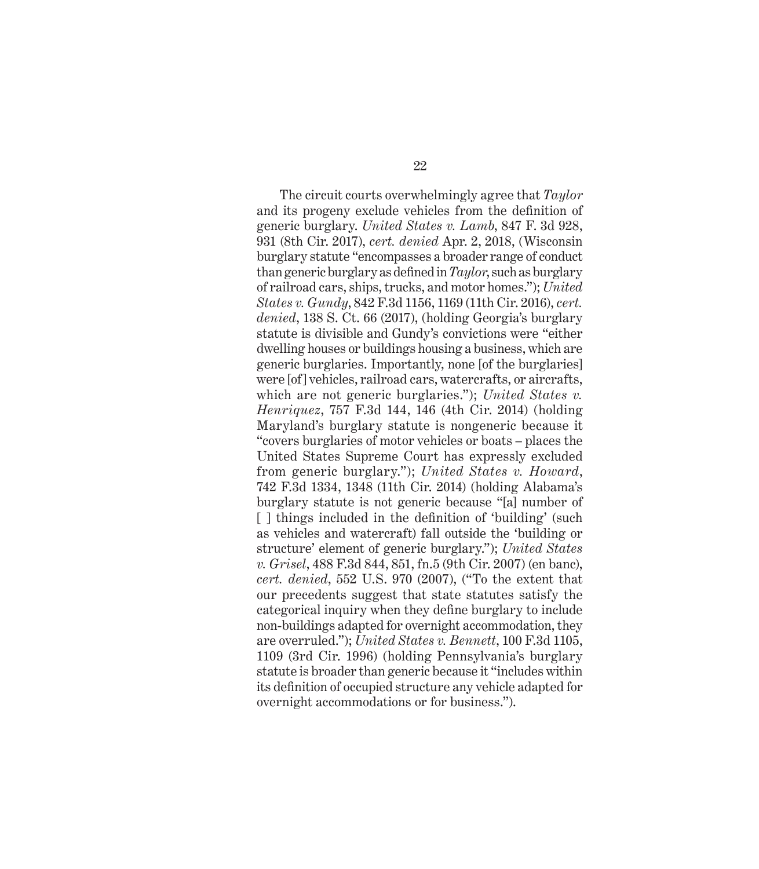The circuit courts overwhelmingly agree that *Taylor* and its progeny exclude vehicles from the definition of generic burglary. *United States v. Lamb*, 847 F. 3d 928, 931 (8th Cir. 2017), *cert. denied* Apr. 2, 2018, (Wisconsin burglary statute "encompasses a broader range of conduct than generic burglary as defined in *Taylor*, such as burglary of railroad cars, ships, trucks, and motor homes."); *United States v. Gundy*, 842 F.3d 1156, 1169 (11th Cir. 2016), *cert. denied*, 138 S. Ct. 66 (2017), (holding Georgia's burglary statute is divisible and Gundy's convictions were "either dwelling houses or buildings housing a business, which are generic burglaries. Importantly, none [of the burglaries] were [of] vehicles, railroad cars, watercrafts, or aircrafts, which are not generic burglaries."); *United States v. Henriquez*, 757 F.3d 144, 146 (4th Cir. 2014) (holding Maryland's burglary statute is nongeneric because it "covers burglaries of motor vehicles or boats – places the United States Supreme Court has expressly excluded from generic burglary."); *United States v. Howard*, 742 F.3d 1334, 1348 (11th Cir. 2014) (holding Alabama's burglary statute is not generic because "[a] number of [ ] things included in the definition of 'building' (such as vehicles and watercraft) fall outside the 'building or structure' element of generic burglary."); *United States v. Grisel*, 488 F.3d 844, 851, fn.5 (9th Cir. 2007) (en banc), *cert. denied*, 552 U.S. 970 (2007), ("To the extent that our precedents suggest that state statutes satisfy the categorical inquiry when they define burglary to include non-buildings adapted for overnight accommodation, they are overruled."); *United States v. Bennett*, 100 F.3d 1105, 1109 (3rd Cir. 1996) (holding Pennsylvania's burglary statute is broader than generic because it "includes within its definition of occupied structure any vehicle adapted for overnight accommodations or for business.").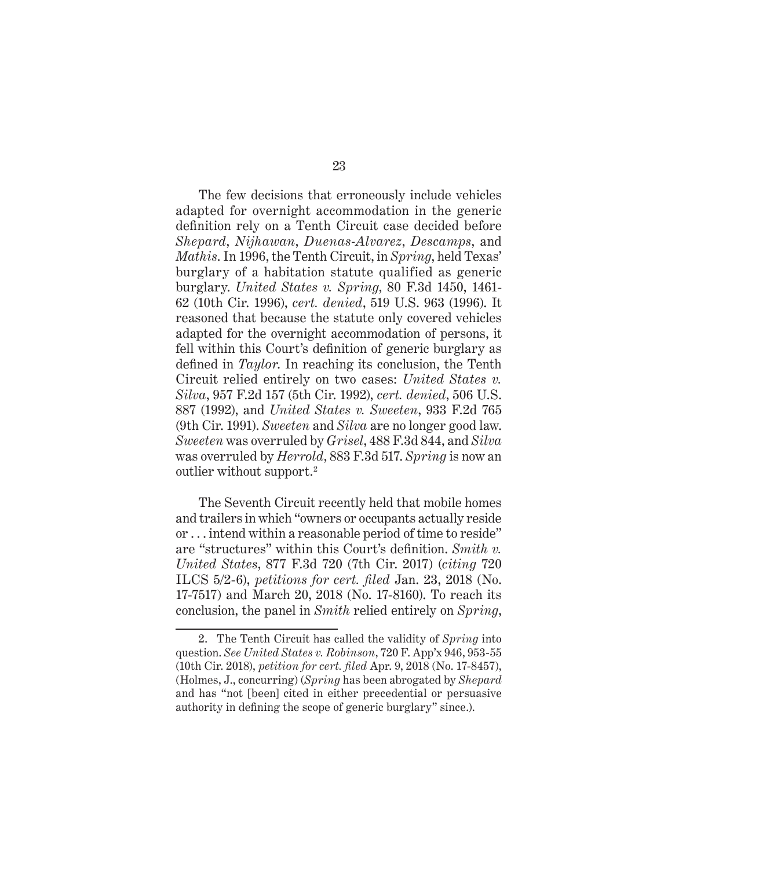The few decisions that erroneously include vehicles adapted for overnight accommodation in the generic definition rely on a Tenth Circuit case decided before *Shepard*, *Nijhawan*, *Duenas-Alvarez*, *Descamps*, and *Mathis*. In 1996, the Tenth Circuit, in *Spring*, held Texas' burglary of a habitation statute qualified as generic burglary. *United States v. Spring*, 80 F.3d 1450, 1461- 62 (10th Cir. 1996), *cert. denied*, 519 U.S. 963 (1996). It reasoned that because the statute only covered vehicles adapted for the overnight accommodation of persons, it fell within this Court's definition of generic burglary as defined in *Taylor*. In reaching its conclusion, the Tenth Circuit relied entirely on two cases: *United States v. Silva*, 957 F.2d 157 (5th Cir. 1992), *cert. denied*, 506 U.S. 887 (1992), and *United States v. Sweeten*, 933 F.2d 765 (9th Cir. 1991). *Sweeten* and *Silva* are no longer good law. *Sweeten* was overruled by *Grisel*, 488 F.3d 844, and *Silva* was overruled by *Herrold*, 883 F.3d 517. *Spring* is now an outlier without support.2

The Seventh Circuit recently held that mobile homes and trailers in which "owners or occupants actually reside or . . . intend within a reasonable period of time to reside" are "structures" within this Court's definition. *Smith v. United States*, 877 F.3d 720 (7th Cir. 2017) (*citing* 720 ILCS 5/2-6), *petitions for cert. filed* Jan. 23, 2018 (No. 17-7517) and March 20, 2018 (No. 17-8160). To reach its conclusion, the panel in *Smith* relied entirely on *Spring*,

<sup>2.</sup> The Tenth Circuit has called the validity of *Spring* into question. *See United States v. Robinson*, 720 F. App'x 946, 953-55 (10th Cir. 2018), *petition for cert. filed* Apr. 9, 2018 (No. 17-8457), (Holmes, J., concurring) (*Spring* has been abrogated by *Shepard* and has "not [been] cited in either precedential or persuasive authority in defining the scope of generic burglary" since.).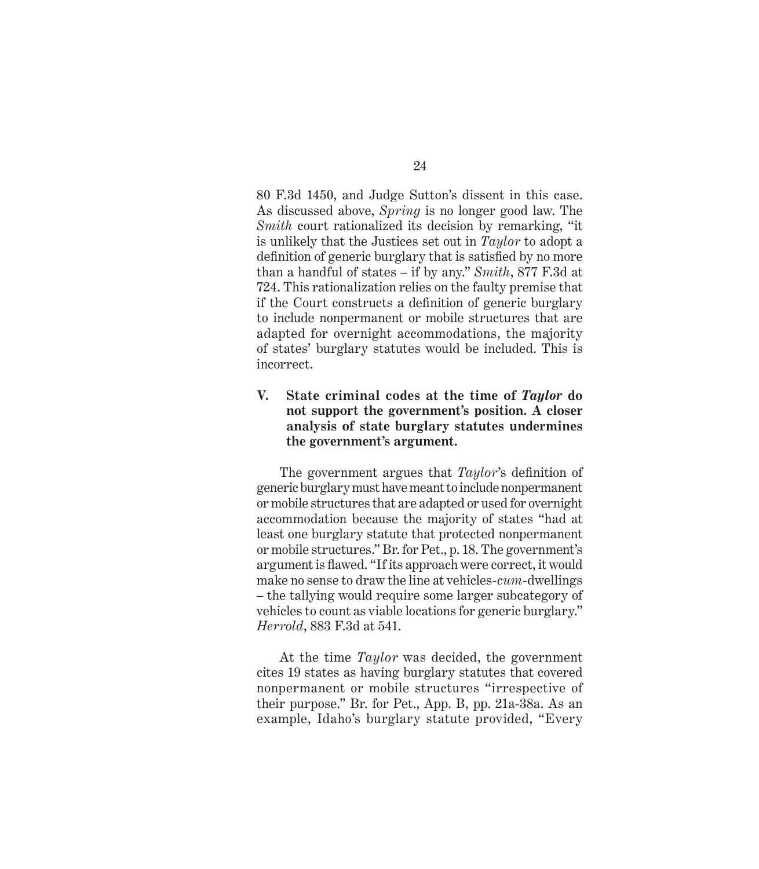80 F.3d 1450, and Judge Sutton's dissent in this case. As discussed above, *Spring* is no longer good law. The *Smith* court rationalized its decision by remarking, "it is unlikely that the Justices set out in *Taylor* to adopt a definition of generic burglary that is satisfied by no more than a handful of states – if by any." *Smith*, 877 F.3d at 724. This rationalization relies on the faulty premise that if the Court constructs a definition of generic burglary to include nonpermanent or mobile structures that are adapted for overnight accommodations, the majority of states' burglary statutes would be included. This is incorrect.

### **V. State criminal codes at the time of** *Taylor* **do not support the government's position. A closer analysis of state burglary statutes undermines the government's argument.**

The government argues that *Taylor*'s definition of generic burglary must have meant to include nonpermanent or mobile structures that are adapted or used for overnight accommodation because the majority of states "had at least one burglary statute that protected nonpermanent or mobile structures." Br. for Pet., p. 18. The government's argument is flawed. "If its approach were correct, it would make no sense to draw the line at vehicles-*cum*-dwellings – the tallying would require some larger subcategory of vehicles to count as viable locations for generic burglary." *Herrold*, 883 F.3d at 541.

At the time *Taylor* was decided, the government cites 19 states as having burglary statutes that covered nonpermanent or mobile structures "irrespective of their purpose." Br. for Pet., App. B, pp. 21a-38a. As an example, Idaho's burglary statute provided, "Every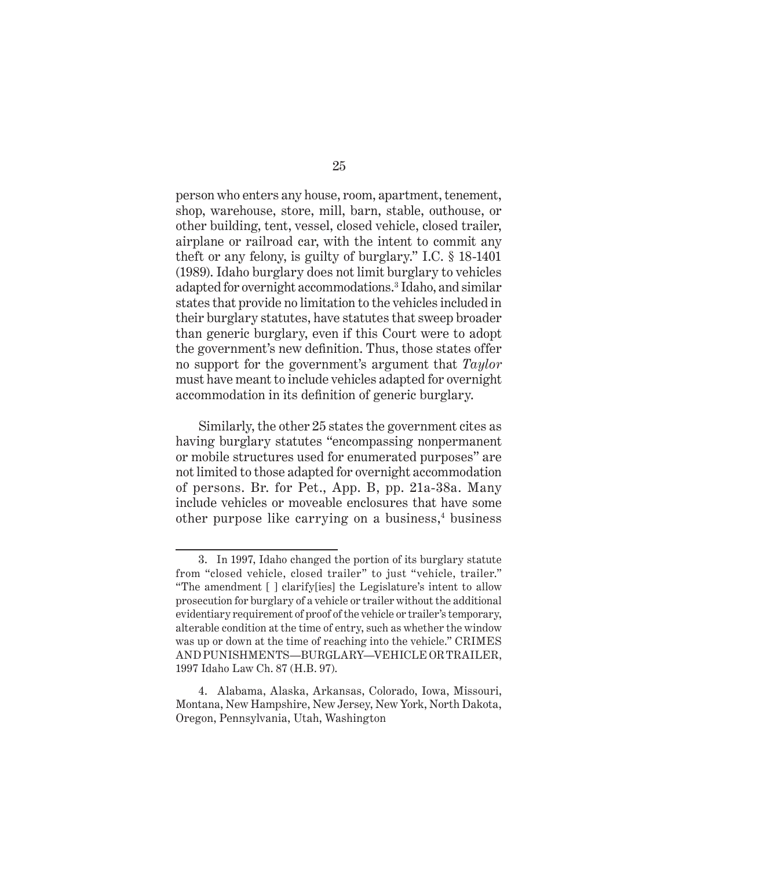person who enters any house, room, apartment, tenement, shop, warehouse, store, mill, barn, stable, outhouse, or other building, tent, vessel, closed vehicle, closed trailer, airplane or railroad car, with the intent to commit any theft or any felony, is guilty of burglary." I.C. § 18-1401 (1989). Idaho burglary does not limit burglary to vehicles adapted for overnight accommodations.3 Idaho, and similar states that provide no limitation to the vehicles included in their burglary statutes, have statutes that sweep broader than generic burglary, even if this Court were to adopt the government's new definition. Thus, those states offer no support for the government's argument that *Taylor* must have meant to include vehicles adapted for overnight accommodation in its definition of generic burglary.

Similarly, the other 25 states the government cites as having burglary statutes "encompassing nonpermanent or mobile structures used for enumerated purposes" are not limited to those adapted for overnight accommodation of persons. Br. for Pet., App. B, pp. 21a-38a. Many include vehicles or moveable enclosures that have some other purpose like carrying on a business,<sup>4</sup> business

<sup>3.</sup> In 1997, Idaho changed the portion of its burglary statute from "closed vehicle, closed trailer" to just "vehicle, trailer." "The amendment [ ] clarify[ies] the Legislature's intent to allow prosecution for burglary of a vehicle or trailer without the additional evidentiary requirement of proof of the vehicle or trailer's temporary, alterable condition at the time of entry, such as whether the window was up or down at the time of reaching into the vehicle." CRIMES AND PUNISHMENTS—BURGLARY—VEHICLE OR TRAILER, 1997 Idaho Law Ch. 87 (H.B. 97).

<sup>4.</sup> Alabama, Alaska, Arkansas, Colorado, Iowa, Missouri, Montana, New Hampshire, New Jersey, New York, North Dakota, Oregon, Pennsylvania, Utah, Washington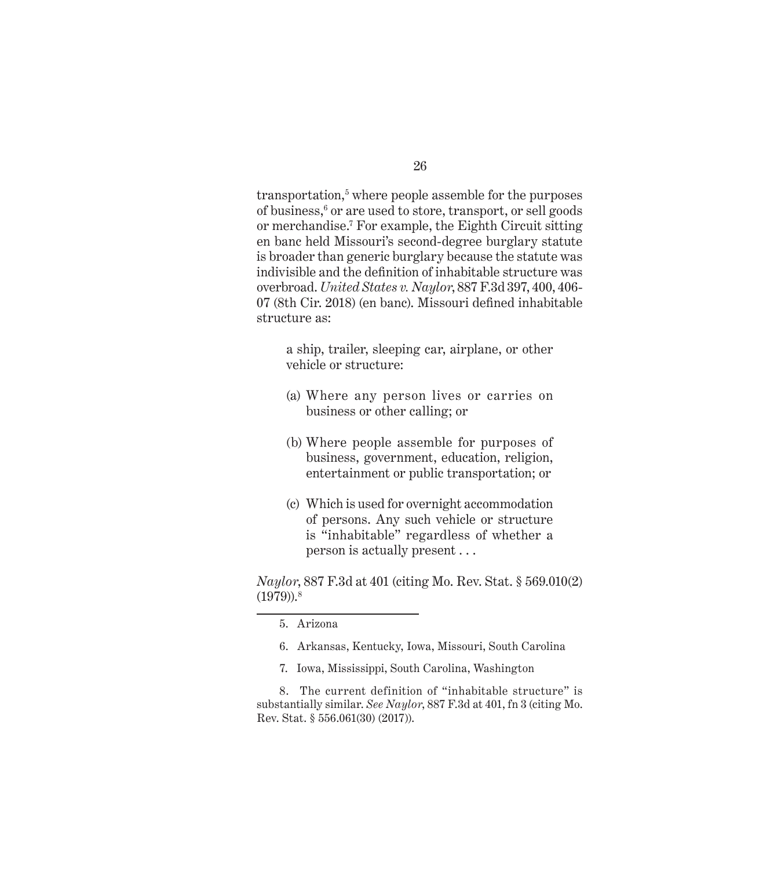transportation,<sup>5</sup> where people assemble for the purposes of business,<sup>6</sup> or are used to store, transport, or sell goods or merchandise.7 For example, the Eighth Circuit sitting en banc held Missouri's second-degree burglary statute is broader than generic burglary because the statute was indivisible and the definition of inhabitable structure was overbroad. *United States v. Naylor*, 887 F.3d 397, 400, 406- 07 (8th Cir. 2018) (en banc). Missouri defined inhabitable structure as:

a ship, trailer, sleeping car, airplane, or other vehicle or structure:

- (a) Where any person lives or carries on business or other calling; or
- (b) Where people assemble for purposes of business, government, education, religion, entertainment or public transportation; or
- (c) Which is used for overnight accommodation of persons. Any such vehicle or structure is "inhabitable" regardless of whether a person is actually present . . .

*Naylor*, 887 F.3d at 401 (citing Mo. Rev. Stat. § 569.010(2)  $(1979)$ ).<sup>8</sup>

7. Iowa, Mississippi, South Carolina, Washington

8. The current definition of "inhabitable structure" is substantially similar. *See Naylor*, 887 F.3d at 401, fn 3 (citing Mo. Rev. Stat. § 556.061(30) (2017)).

<sup>5.</sup> Arizona

<sup>6.</sup> Arkansas, Kentucky, Iowa, Missouri, South Carolina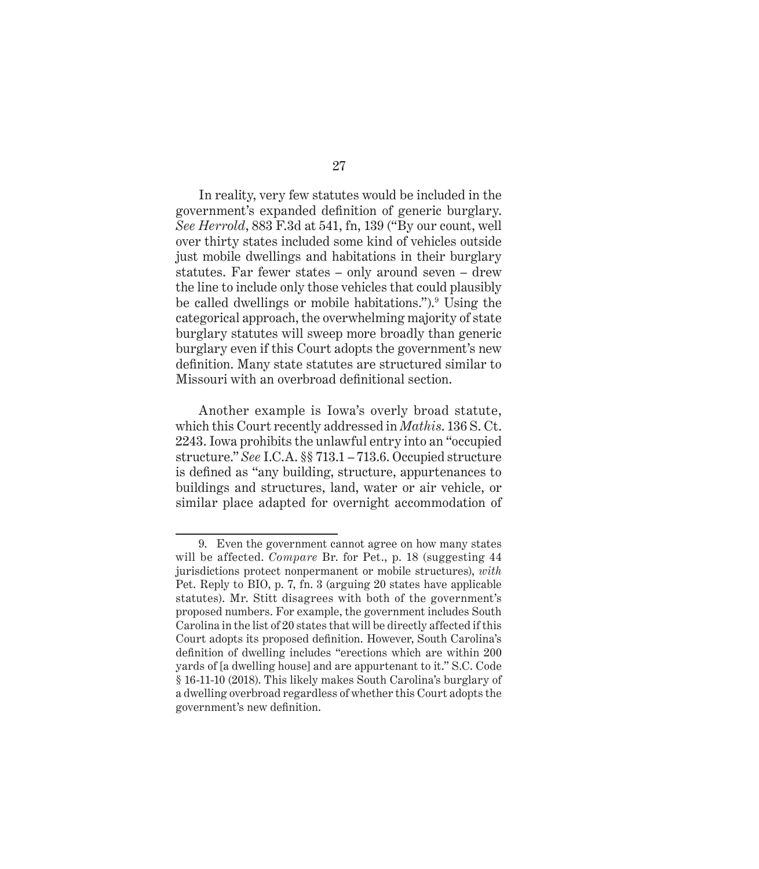In reality, very few statutes would be included in the government's expanded definition of generic burglary. *See Herrold*, 883 F.3d at 541, fn, 139 ("By our count, well over thirty states included some kind of vehicles outside just mobile dwellings and habitations in their burglary statutes. Far fewer states – only around seven – drew the line to include only those vehicles that could plausibly be called dwellings or mobile habitations.").<sup>9</sup> Using the categorical approach, the overwhelming majority of state burglary statutes will sweep more broadly than generic burglary even if this Court adopts the government's new definition. Many state statutes are structured similar to Missouri with an overbroad definitional section.

Another example is Iowa's overly broad statute, which this Court recently addressed in *Mathis*. 136 S. Ct. 2243. Iowa prohibits the unlawful entry into an "occupied structure." *See* I.C.A. §§ 713.1 – 713.6. Occupied structure is defined as "any building, structure, appurtenances to buildings and structures, land, water or air vehicle, or similar place adapted for overnight accommodation of

<sup>9.</sup> Even the government cannot agree on how many states will be affected. *Compare* Br. for Pet., p. 18 (suggesting 44 jurisdictions protect nonpermanent or mobile structures), *with* Pet. Reply to BIO, p. 7, fn. 3 (arguing 20 states have applicable statutes). Mr. Stitt disagrees with both of the government's proposed numbers. For example, the government includes South Carolina in the list of 20 states that will be directly affected if this Court adopts its proposed definition. However, South Carolina's definition of dwelling includes "erections which are within 200 yards of [a dwelling house] and are appurtenant to it." S.C. Code § 16-11-10 (2018). This likely makes South Carolina's burglary of a dwelling overbroad regardless of whether this Court adopts the government's new definition.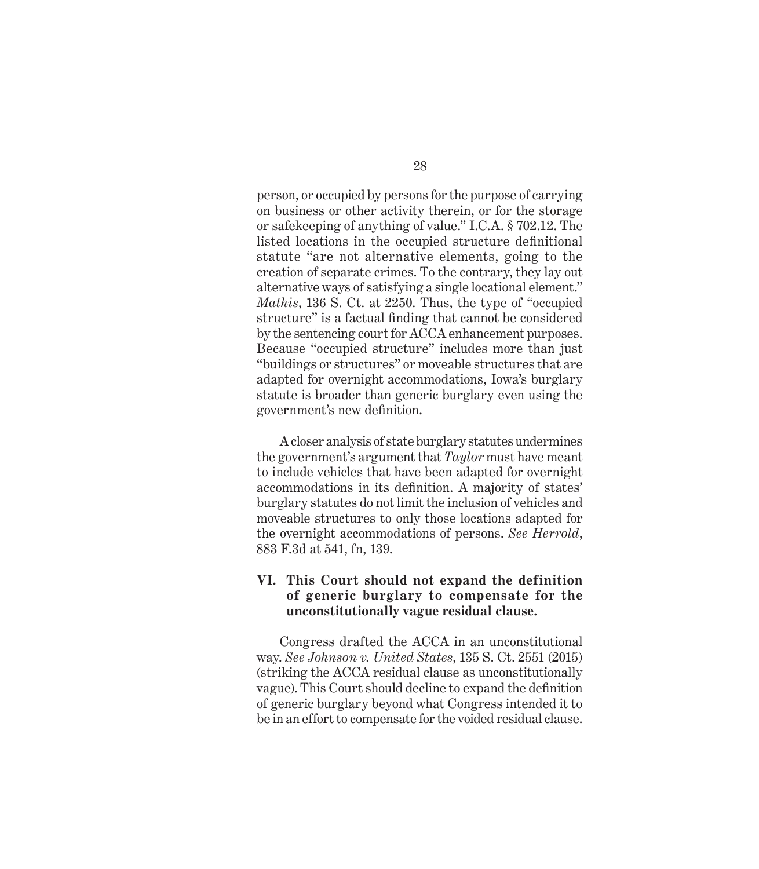person, or occupied by persons for the purpose of carrying on business or other activity therein, or for the storage or safekeeping of anything of value." I.C.A. § 702.12. The listed locations in the occupied structure definitional statute "are not alternative elements, going to the creation of separate crimes. To the contrary, they lay out alternative ways of satisfying a single locational element." *Mathis*, 136 S. Ct. at 2250. Thus, the type of "occupied structure" is a factual finding that cannot be considered by the sentencing court for ACCA enhancement purposes. Because "occupied structure" includes more than just "buildings or structures" or moveable structures that are adapted for overnight accommodations, Iowa's burglary statute is broader than generic burglary even using the government's new definition.

A closer analysis of state burglary statutes undermines the government's argument that *Taylor* must have meant to include vehicles that have been adapted for overnight accommodations in its definition. A majority of states' burglary statutes do not limit the inclusion of vehicles and moveable structures to only those locations adapted for the overnight accommodations of persons. *See Herrold*, 883 F.3d at 541, fn, 139.

### **VI. This Court should not expand the definition of generic burglary to compensate for the unconstitutionally vague residual clause.**

Congress drafted the ACCA in an unconstitutional way. *See Johnson v. United States*, 135 S. Ct. 2551 (2015) (striking the ACCA residual clause as unconstitutionally vague). This Court should decline to expand the definition of generic burglary beyond what Congress intended it to be in an effort to compensate for the voided residual clause.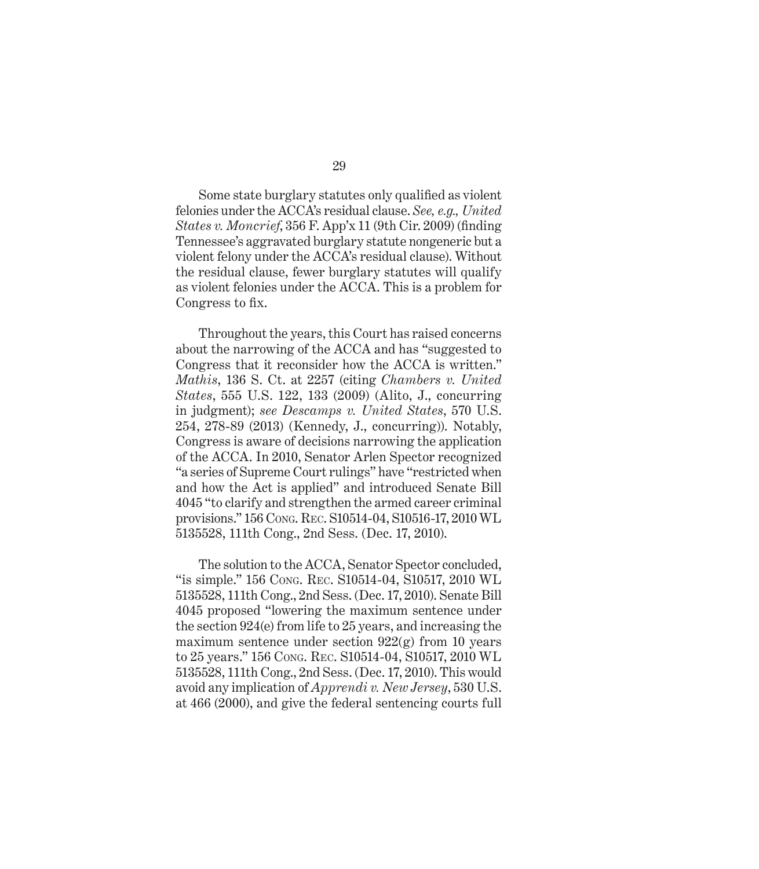Some state burglary statutes only qualified as violent felonies under the ACCA's residual clause. *See, e.g., United States v. Moncrief*, 356 F. App'x 11 (9th Cir. 2009) (finding Tennessee's aggravated burglary statute nongeneric but a violent felony under the ACCA's residual clause). Without the residual clause, fewer burglary statutes will qualify as violent felonies under the ACCA. This is a problem for Congress to fix.

Throughout the years, this Court has raised concerns about the narrowing of the ACCA and has "suggested to Congress that it reconsider how the ACCA is written." *Mathis*, 136 S. Ct. at 2257 (citing *Chambers v. United States*, 555 U.S. 122, 133 (2009) (Alito, J., concurring in judgment); *see Descamps v. United States*, 570 U.S. 254, 278-89 (2013) (Kennedy, J., concurring)). Notably, Congress is aware of decisions narrowing the application of the ACCA. In 2010, Senator Arlen Spector recognized "a series of Supreme Court rulings" have "restricted when and how the Act is applied" and introduced Senate Bill 4045 "to clarify and strengthen the armed career criminal provisions." 156 Cong. Rec. S10514-04, S10516-17, 2010 WL 5135528, 111th Cong., 2nd Sess. (Dec. 17, 2010).

The solution to the ACCA, Senator Spector concluded, "is simple." 156 Cong. Rec. S10514-04, S10517, 2010 WL 5135528, 111th Cong., 2nd Sess. (Dec. 17, 2010). Senate Bill 4045 proposed "lowering the maximum sentence under the section 924(e) from life to 25 years, and increasing the maximum sentence under section  $922(g)$  from 10 years to 25 years." 156 Cong. Rec. S10514-04, S10517, 2010 WL 5135528, 111th Cong., 2nd Sess. (Dec. 17, 2010). This would avoid any implication of *Apprendi v. New Jersey*, 530 U.S. at 466 (2000), and give the federal sentencing courts full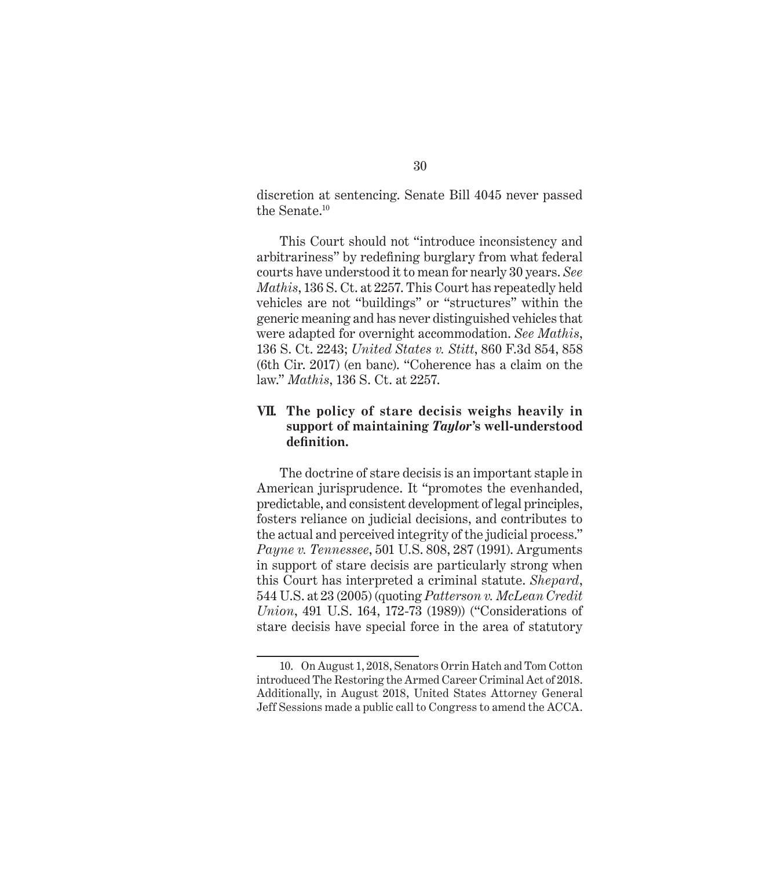discretion at sentencing. Senate Bill 4045 never passed the Senate.10

This Court should not "introduce inconsistency and arbitrariness" by redefining burglary from what federal courts have understood it to mean for nearly 30 years. *See Mathis*, 136 S. Ct. at 2257. This Court has repeatedly held vehicles are not "buildings" or "structures" within the generic meaning and has never distinguished vehicles that were adapted for overnight accommodation. *See Mathis*, 136 S. Ct. 2243; *United States v. Stitt*, 860 F.3d 854, 858 (6th Cir. 2017) (en banc). "Coherence has a claim on the law." *Mathis*, 136 S. Ct. at 2257.

### **VII. The policy of stare decisis weighs heavily in support of maintaining** *Taylor***'s well-understood definition.**

The doctrine of stare decisis is an important staple in American jurisprudence. It "promotes the evenhanded, predictable, and consistent development of legal principles, fosters reliance on judicial decisions, and contributes to the actual and perceived integrity of the judicial process." *Payne v. Tennessee*, 501 U.S. 808, 287 (1991). Arguments in support of stare decisis are particularly strong when this Court has interpreted a criminal statute. *Shepard*, 544 U.S. at 23 (2005) (quoting *Patterson v. McLean Credit Union*, 491 U.S. 164, 172-73 (1989)) ("Considerations of stare decisis have special force in the area of statutory

<sup>10.</sup> On August 1, 2018, Senators Orrin Hatch and Tom Cotton introduced The Restoring the Armed Career Criminal Act of 2018. Additionally, in August 2018, United States Attorney General Jeff Sessions made a public call to Congress to amend the ACCA.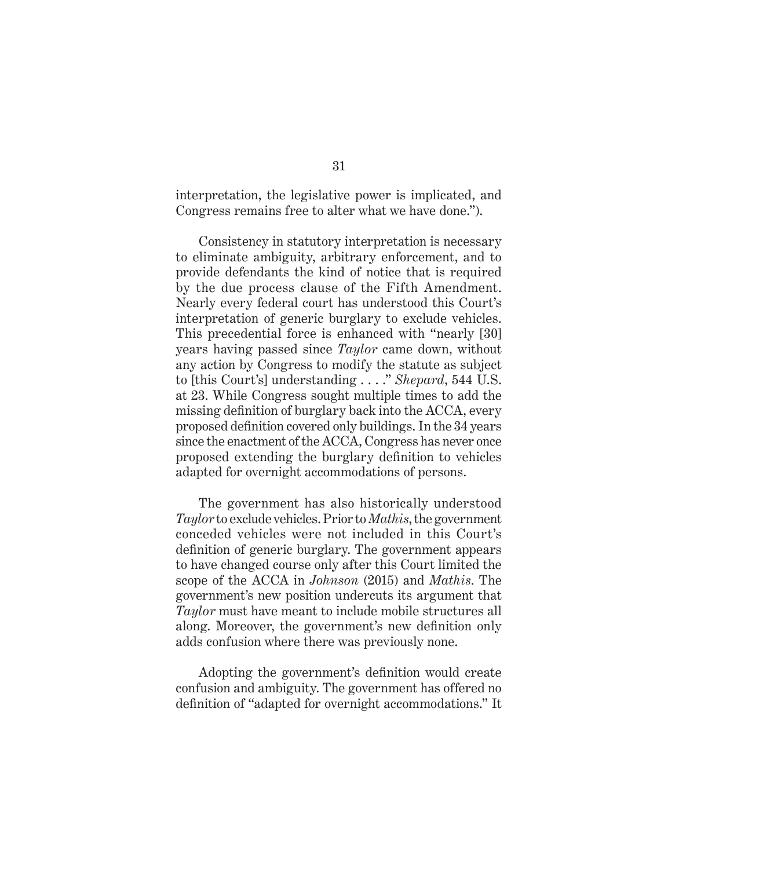interpretation, the legislative power is implicated, and Congress remains free to alter what we have done.").

Consistency in statutory interpretation is necessary to eliminate ambiguity, arbitrary enforcement, and to provide defendants the kind of notice that is required by the due process clause of the Fifth Amendment. Nearly every federal court has understood this Court's interpretation of generic burglary to exclude vehicles. This precedential force is enhanced with "nearly [30] years having passed since *Taylor* came down, without any action by Congress to modify the statute as subject to [this Court's] understanding . . . ." *Shepard*, 544 U.S. at 23. While Congress sought multiple times to add the missing definition of burglary back into the ACCA, every proposed definition covered only buildings. In the 34 years since the enactment of the ACCA, Congress has never once proposed extending the burglary definition to vehicles adapted for overnight accommodations of persons.

The government has also historically understood *Taylor* to exclude vehicles. Prior to *Mathis*, the government conceded vehicles were not included in this Court's definition of generic burglary. The government appears to have changed course only after this Court limited the scope of the ACCA in *Johnson* (2015) and *Mathis*. The government's new position undercuts its argument that *Taylor* must have meant to include mobile structures all along. Moreover, the government's new definition only adds confusion where there was previously none.

Adopting the government's definition would create confusion and ambiguity. The government has offered no definition of "adapted for overnight accommodations." It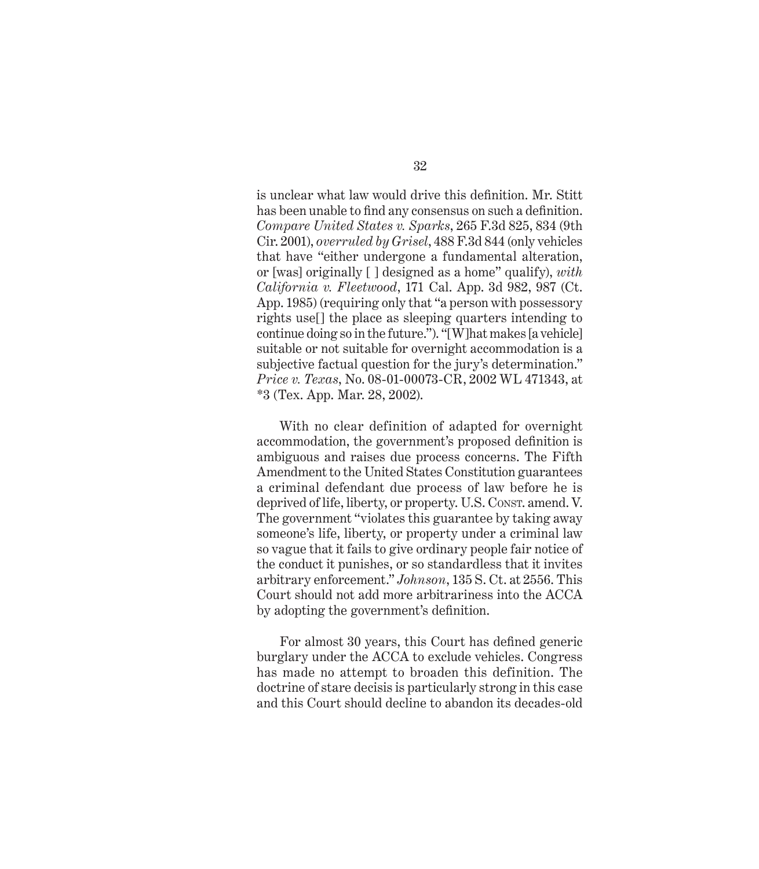is unclear what law would drive this definition. Mr. Stitt has been unable to find any consensus on such a definition. *Compare United States v. Sparks*, 265 F.3d 825, 834 (9th Cir. 2001), *overruled by Grisel*, 488 F.3d 844 (only vehicles that have "either undergone a fundamental alteration, or [was] originally [ ] designed as a home" qualify), *with California v. Fleetwood*, 171 Cal. App. 3d 982, 987 (Ct. App. 1985) (requiring only that "a person with possessory rights use[] the place as sleeping quarters intending to continue doing so in the future."). "[W]hat makes [a vehicle] suitable or not suitable for overnight accommodation is a subjective factual question for the jury's determination." *Price v. Texas*, No. 08-01-00073-CR, 2002 WL 471343, at \*3 (Tex. App. Mar. 28, 2002).

With no clear definition of adapted for overnight accommodation, the government's proposed definition is ambiguous and raises due process concerns. The Fifth Amendment to the United States Constitution guarantees a criminal defendant due process of law before he is deprived of life, liberty, or property. U.S. Consr. amend. V. The government "violates this guarantee by taking away someone's life, liberty, or property under a criminal law so vague that it fails to give ordinary people fair notice of the conduct it punishes, or so standardless that it invites arbitrary enforcement." *Johnson*, 135 S. Ct. at 2556. This Court should not add more arbitrariness into the ACCA by adopting the government's definition.

For almost 30 years, this Court has defined generic burglary under the ACCA to exclude vehicles. Congress has made no attempt to broaden this definition. The doctrine of stare decisis is particularly strong in this case and this Court should decline to abandon its decades-old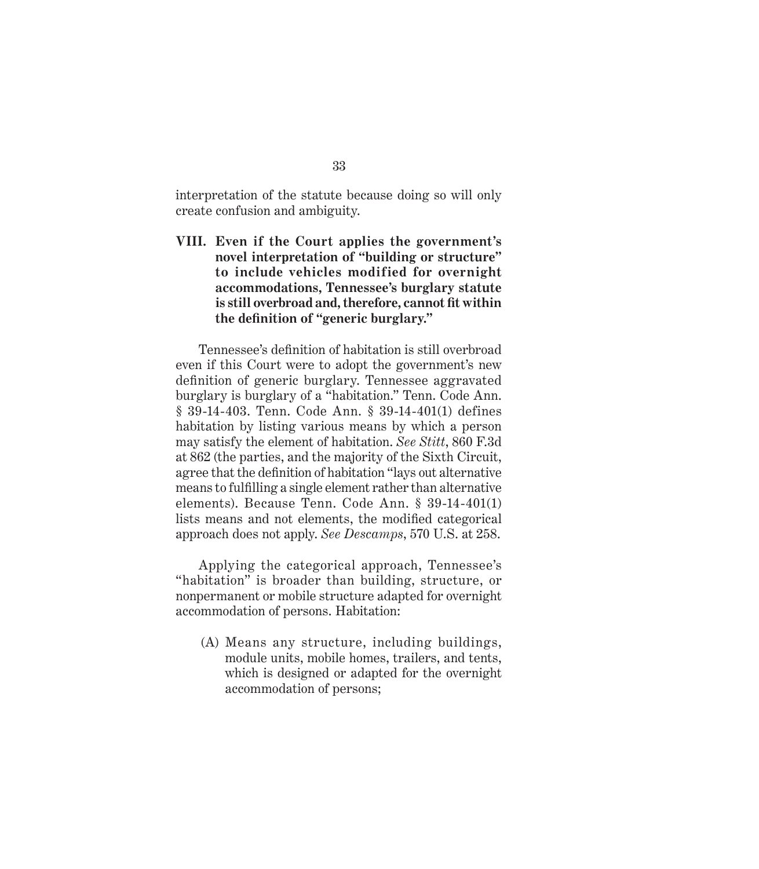interpretation of the statute because doing so will only create confusion and ambiguity.

**VIII. Even if the Court applies the government's novel interpretation of "building or structure" to include vehicles modified for overnight accommodations, Tennessee's burglary statute is still overbroad and,therefore, cannot fit within the definition of "generic burglary."**

Tennessee's definition of habitation is still overbroad even if this Court were to adopt the government's new definition of generic burglary. Tennessee aggravated burglary is burglary of a "habitation." Tenn. Code Ann. § 39-14-403. Tenn. Code Ann. § 39-14-401(1) defines habitation by listing various means by which a person may satisfy the element of habitation. *See Stitt*, 860 F.3d at 862 (the parties, and the majority of the Sixth Circuit, agree that the definition of habitation "lays out alternative means to fulfilling a single element rather than alternative elements). Because Tenn. Code Ann. § 39-14-401(1) lists means and not elements, the modified categorical approach does not apply. *See Descamps*, 570 U.S. at 258.

Applying the categorical approach, Tennessee's "habitation" is broader than building, structure, or nonpermanent or mobile structure adapted for overnight accommodation of persons. Habitation:

(A) Means any structure, including buildings, module units, mobile homes, trailers, and tents, which is designed or adapted for the overnight accommodation of persons;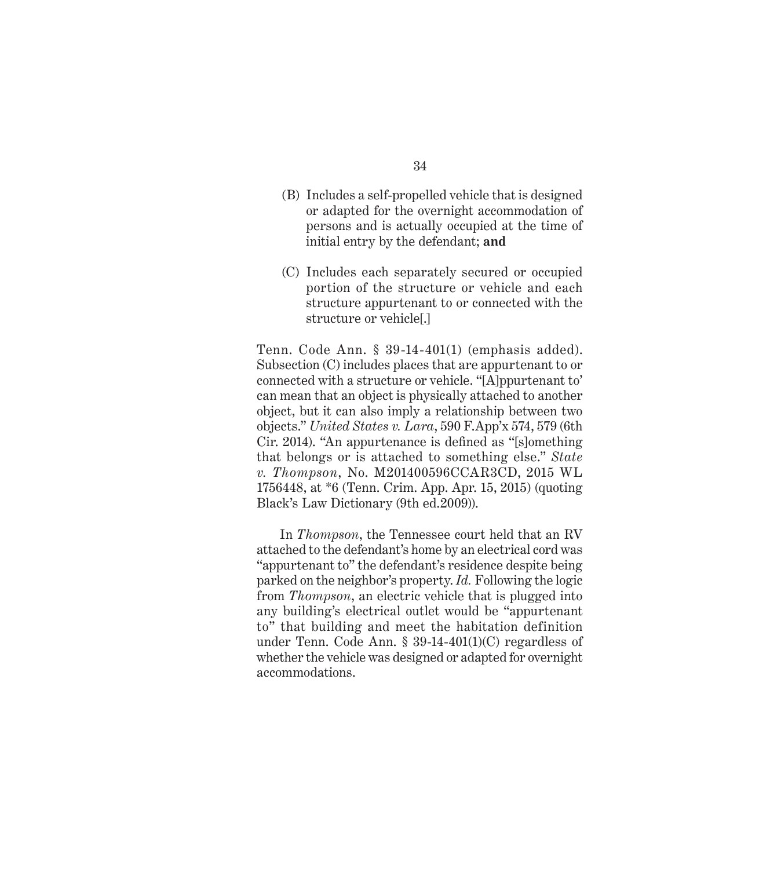- (B) Includes a self-propelled vehicle that is designed or adapted for the overnight accommodation of persons and is actually occupied at the time of initial entry by the defendant; **and**
- (C) Includes each separately secured or occupied portion of the structure or vehicle and each structure appurtenant to or connected with the structure or vehicle[.]

Tenn. Code Ann. § 39-14-401(1) (emphasis added). Subsection (C) includes places that are appurtenant to or connected with a structure or vehicle. "[A]ppurtenant to' can mean that an object is physically attached to another object, but it can also imply a relationship between two objects." *United States v. Lara*, 590 F.App'x 574, 579 (6th Cir. 2014). "An appurtenance is defined as "[s]omething that belongs or is attached to something else." *State v. Thompson*, No. M201400596CCAR3CD, 2015 WL 1756448, at \*6 (Tenn. Crim. App. Apr. 15, 2015) (quoting Black's Law Dictionary (9th ed.2009)).

In *Thompson*, the Tennessee court held that an RV attached to the defendant's home by an electrical cord was "appurtenant to" the defendant's residence despite being parked on the neighbor's property. *Id.* Following the logic from *Thompson*, an electric vehicle that is plugged into any building's electrical outlet would be "appurtenant to" that building and meet the habitation definition under Tenn. Code Ann. § 39-14-401(1)(C) regardless of whether the vehicle was designed or adapted for overnight accommodations.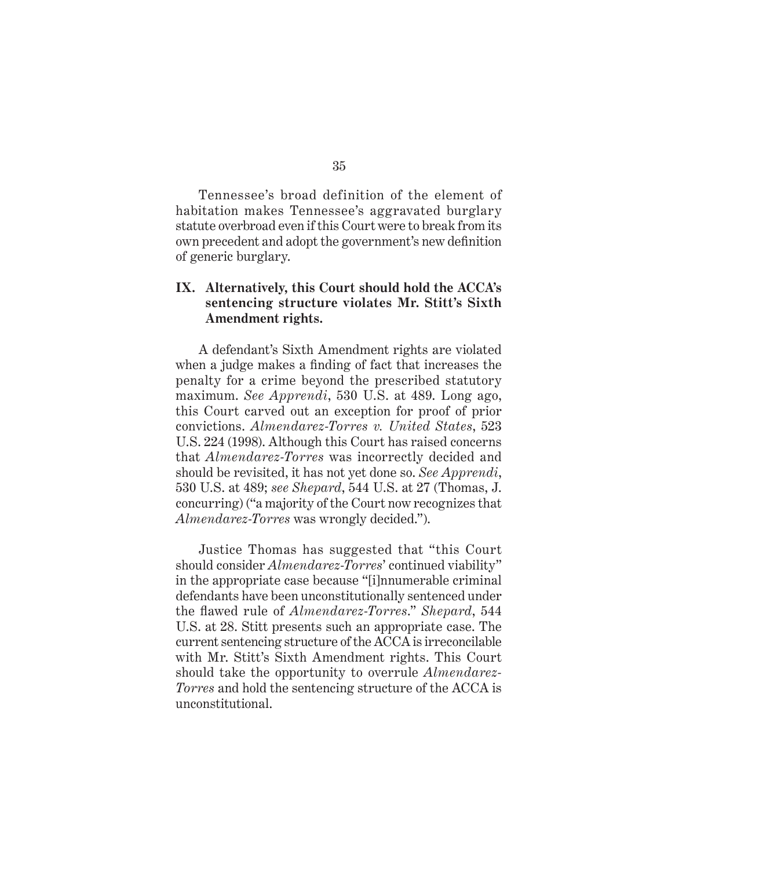Tennessee's broad definition of the element of habitation makes Tennessee's aggravated burglary statute overbroad even if this Court were to break from its own precedent and adopt the government's new definition of generic burglary.

### **IX. Alternatively, this Court should hold the ACCA's sentencing structure violates Mr. Stitt's Sixth Amendment rights.**

A defendant's Sixth Amendment rights are violated when a judge makes a finding of fact that increases the penalty for a crime beyond the prescribed statutory maximum. *See Apprendi*, 530 U.S. at 489. Long ago, this Court carved out an exception for proof of prior convictions. *Almendarez-Torres v. United States*, 523 U.S. 224 (1998). Although this Court has raised concerns that *Almendarez-Torres* was incorrectly decided and should be revisited, it has not yet done so. *See Apprendi*, 530 U.S. at 489; *see Shepard*, 544 U.S. at 27 (Thomas, J. concurring) ("a majority of the Court now recognizes that *Almendarez-Torres* was wrongly decided.").

Justice Thomas has suggested that "this Court should consider *Almendarez-Torres*' continued viability" in the appropriate case because "[i]nnumerable criminal defendants have been unconstitutionally sentenced under the flawed rule of *Almendarez-Torres*." *Shepard*, 544 U.S. at 28. Stitt presents such an appropriate case. The current sentencing structure of the ACCA is irreconcilable with Mr. Stitt's Sixth Amendment rights. This Court should take the opportunity to overrule *Almendarez-Torres* and hold the sentencing structure of the ACCA is unconstitutional.